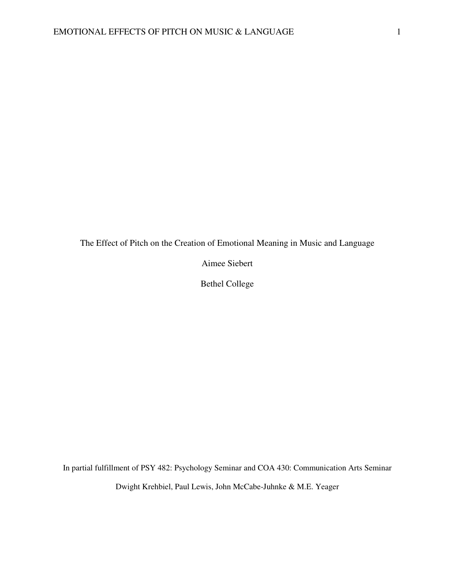The Effect of Pitch on the Creation of Emotional Meaning in Music and Language

Aimee Siebert

Bethel College

In partial fulfillment of PSY 482: Psychology Seminar and COA 430: Communication Arts Seminar

Dwight Krehbiel, Paul Lewis, John McCabe-Juhnke & M.E. Yeager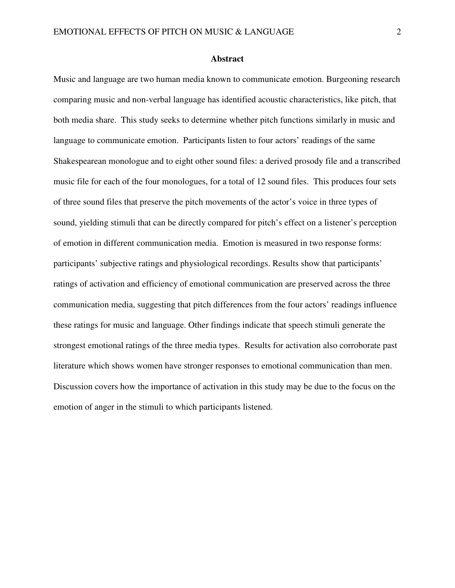### **Abstract**

Music and language are two human media known to communicate emotion. Burgeoning research comparing music and non-verbal language has identified acoustic characteristics, like pitch, that both media share. This study seeks to determine whether pitch functions similarly in music and language to communicate emotion. Participants listen to four actors' readings of the same Shakespearean monologue and to eight other sound files: a derived prosody file and a transcribed music file for each of the four monologues, for a total of 12 sound files. This produces four sets of three sound files that preserve the pitch movements of the actor's voice in three types of sound, yielding stimuli that can be directly compared for pitch's effect on a listener's perception of emotion in different communication media. Emotion is measured in two response forms: participants' subjective ratings and physiological recordings. Results show that participants' ratings of activation and efficiency of emotional communication are preserved across the three communication media, suggesting that pitch differences from the four actors' readings influence these ratings for music and language. Other findings indicate that speech stimuli generate the strongest emotional ratings of the three media types. Results for activation also corroborate past literature which shows women have stronger responses to emotional communication than men. Discussion covers how the importance of activation in this study may be due to the focus on the emotion of anger in the stimuli to which participants listened.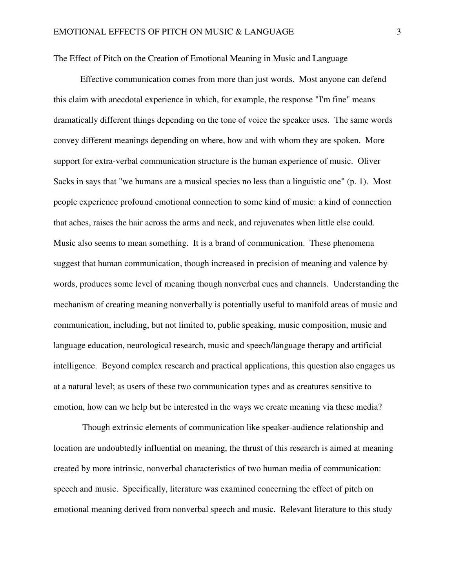The Effect of Pitch on the Creation of Emotional Meaning in Music and Language

 Effective communication comes from more than just words. Most anyone can defend this claim with anecdotal experience in which, for example, the response "I'm fine" means dramatically different things depending on the tone of voice the speaker uses. The same words convey different meanings depending on where, how and with whom they are spoken. More support for extra-verbal communication structure is the human experience of music. Oliver Sacks in says that "we humans are a musical species no less than a linguistic one" (p. 1). Most people experience profound emotional connection to some kind of music: a kind of connection that aches, raises the hair across the arms and neck, and rejuvenates when little else could. Music also seems to mean something. It is a brand of communication. These phenomena suggest that human communication, though increased in precision of meaning and valence by words, produces some level of meaning though nonverbal cues and channels. Understanding the mechanism of creating meaning nonverbally is potentially useful to manifold areas of music and communication, including, but not limited to, public speaking, music composition, music and language education, neurological research, music and speech/language therapy and artificial intelligence. Beyond complex research and practical applications, this question also engages us at a natural level; as users of these two communication types and as creatures sensitive to emotion, how can we help but be interested in the ways we create meaning via these media?

 Though extrinsic elements of communication like speaker-audience relationship and location are undoubtedly influential on meaning, the thrust of this research is aimed at meaning created by more intrinsic, nonverbal characteristics of two human media of communication: speech and music. Specifically, literature was examined concerning the effect of pitch on emotional meaning derived from nonverbal speech and music. Relevant literature to this study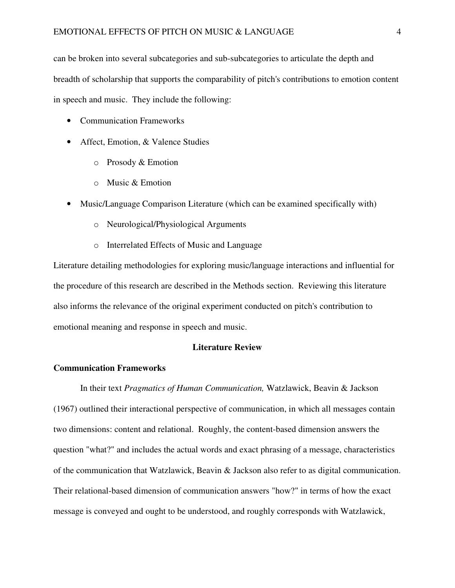can be broken into several subcategories and sub-subcategories to articulate the depth and breadth of scholarship that supports the comparability of pitch's contributions to emotion content in speech and music. They include the following:

- Communication Frameworks
- Affect, Emotion, & Valence Studies
	- o Prosody & Emotion
	- o Music & Emotion
- Music/Language Comparison Literature (which can be examined specifically with)
	- o Neurological/Physiological Arguments
	- o Interrelated Effects of Music and Language

Literature detailing methodologies for exploring music/language interactions and influential for the procedure of this research are described in the Methods section. Reviewing this literature also informs the relevance of the original experiment conducted on pitch's contribution to emotional meaning and response in speech and music.

# **Literature Review**

# **Communication Frameworks**

 In their text *Pragmatics of Human Communication,* Watzlawick, Beavin & Jackson (1967) outlined their interactional perspective of communication, in which all messages contain two dimensions: content and relational. Roughly, the content-based dimension answers the question "what?" and includes the actual words and exact phrasing of a message, characteristics of the communication that Watzlawick, Beavin & Jackson also refer to as digital communication. Their relational-based dimension of communication answers "how?" in terms of how the exact message is conveyed and ought to be understood, and roughly corresponds with Watzlawick,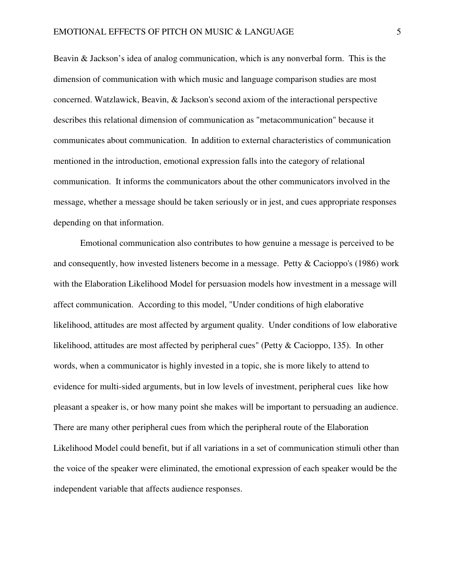Beavin & Jackson's idea of analog communication, which is any nonverbal form. This is the dimension of communication with which music and language comparison studies are most concerned. Watzlawick, Beavin, & Jackson's second axiom of the interactional perspective describes this relational dimension of communication as "metacommunication" because it communicates about communication. In addition to external characteristics of communication mentioned in the introduction, emotional expression falls into the category of relational communication. It informs the communicators about the other communicators involved in the message, whether a message should be taken seriously or in jest, and cues appropriate responses depending on that information.

Emotional communication also contributes to how genuine a message is perceived to be and consequently, how invested listeners become in a message. Petty & Cacioppo's (1986) work with the Elaboration Likelihood Model for persuasion models how investment in a message will affect communication. According to this model, "Under conditions of high elaborative likelihood, attitudes are most affected by argument quality. Under conditions of low elaborative likelihood, attitudes are most affected by peripheral cues" (Petty & Cacioppo, 135). In other words, when a communicator is highly invested in a topic, she is more likely to attend to evidence for multi-sided arguments, but in low levels of investment, peripheral cues like how pleasant a speaker is, or how many point she makes will be important to persuading an audience. There are many other peripheral cues from which the peripheral route of the Elaboration Likelihood Model could benefit, but if all variations in a set of communication stimuli other than the voice of the speaker were eliminated, the emotional expression of each speaker would be the independent variable that affects audience responses.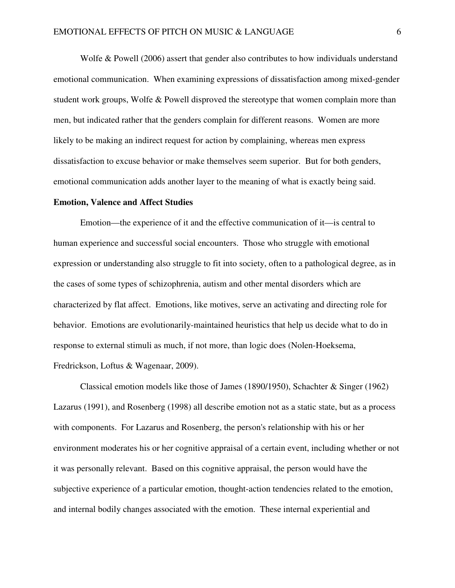Wolfe & Powell (2006) assert that gender also contributes to how individuals understand emotional communication. When examining expressions of dissatisfaction among mixed-gender student work groups, Wolfe & Powell disproved the stereotype that women complain more than men, but indicated rather that the genders complain for different reasons. Women are more likely to be making an indirect request for action by complaining, whereas men express dissatisfaction to excuse behavior or make themselves seem superior. But for both genders, emotional communication adds another layer to the meaning of what is exactly being said.

# **Emotion, Valence and Affect Studies**

 Emotion—the experience of it and the effective communication of it—is central to human experience and successful social encounters. Those who struggle with emotional expression or understanding also struggle to fit into society, often to a pathological degree, as in the cases of some types of schizophrenia, autism and other mental disorders which are characterized by flat affect. Emotions, like motives, serve an activating and directing role for behavior. Emotions are evolutionarily-maintained heuristics that help us decide what to do in response to external stimuli as much, if not more, than logic does (Nolen-Hoeksema, Fredrickson, Loftus & Wagenaar, 2009).

 Classical emotion models like those of James (1890/1950), Schachter & Singer (1962) Lazarus (1991), and Rosenberg (1998) all describe emotion not as a static state, but as a process with components. For Lazarus and Rosenberg, the person's relationship with his or her environment moderates his or her cognitive appraisal of a certain event, including whether or not it was personally relevant. Based on this cognitive appraisal, the person would have the subjective experience of a particular emotion, thought-action tendencies related to the emotion, and internal bodily changes associated with the emotion. These internal experiential and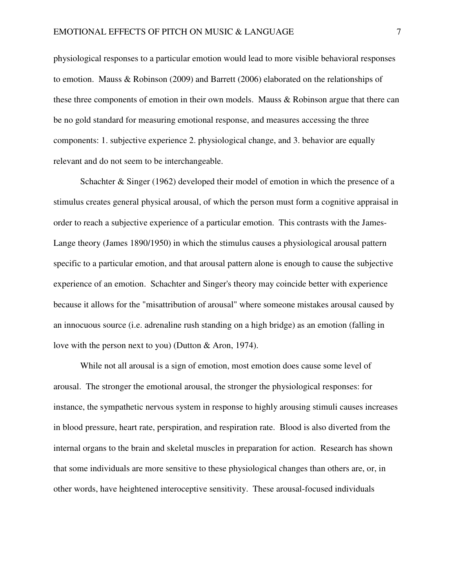physiological responses to a particular emotion would lead to more visible behavioral responses to emotion. Mauss & Robinson (2009) and Barrett (2006) elaborated on the relationships of these three components of emotion in their own models. Mauss & Robinson argue that there can be no gold standard for measuring emotional response, and measures accessing the three components: 1. subjective experience 2. physiological change, and 3. behavior are equally relevant and do not seem to be interchangeable.

Schachter & Singer (1962) developed their model of emotion in which the presence of a stimulus creates general physical arousal, of which the person must form a cognitive appraisal in order to reach a subjective experience of a particular emotion. This contrasts with the James-Lange theory (James 1890/1950) in which the stimulus causes a physiological arousal pattern specific to a particular emotion, and that arousal pattern alone is enough to cause the subjective experience of an emotion. Schachter and Singer's theory may coincide better with experience because it allows for the "misattribution of arousal" where someone mistakes arousal caused by an innocuous source (i.e. adrenaline rush standing on a high bridge) as an emotion (falling in love with the person next to you) (Dutton & Aron, 1974).

 While not all arousal is a sign of emotion, most emotion does cause some level of arousal. The stronger the emotional arousal, the stronger the physiological responses: for instance, the sympathetic nervous system in response to highly arousing stimuli causes increases in blood pressure, heart rate, perspiration, and respiration rate. Blood is also diverted from the internal organs to the brain and skeletal muscles in preparation for action. Research has shown that some individuals are more sensitive to these physiological changes than others are, or, in other words, have heightened interoceptive sensitivity. These arousal-focused individuals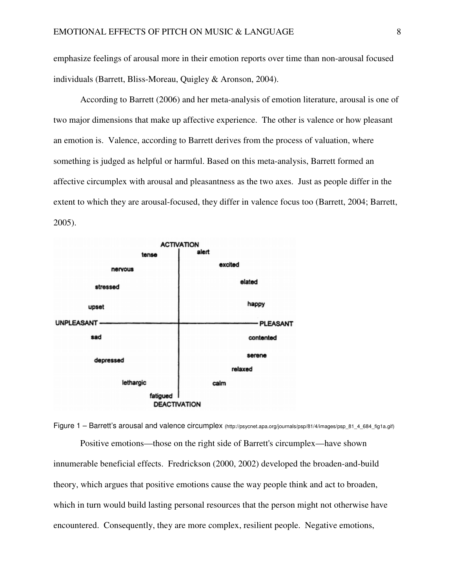emphasize feelings of arousal more in their emotion reports over time than non-arousal focused individuals (Barrett, Bliss-Moreau, Quigley & Aronson, 2004).

 According to Barrett (2006) and her meta-analysis of emotion literature, arousal is one of two major dimensions that make up affective experience. The other is valence or how pleasant an emotion is. Valence, according to Barrett derives from the process of valuation, where something is judged as helpful or harmful. Based on this meta-analysis, Barrett formed an affective circumplex with arousal and pleasantness as the two axes. Just as people differ in the extent to which they are arousal-focused, they differ in valence focus too (Barrett, 2004; Barrett, 2005).



Figure 1 – Barrett's arousal and valence circumplex (http://psycnet.apa.org/journals/psp/81/4/images/psp 81\_4\_684\_fig1a.gif)

 Positive emotions—those on the right side of Barrett's circumplex—have shown innumerable beneficial effects. Fredrickson (2000, 2002) developed the broaden-and-build theory, which argues that positive emotions cause the way people think and act to broaden, which in turn would build lasting personal resources that the person might not otherwise have encountered. Consequently, they are more complex, resilient people. Negative emotions,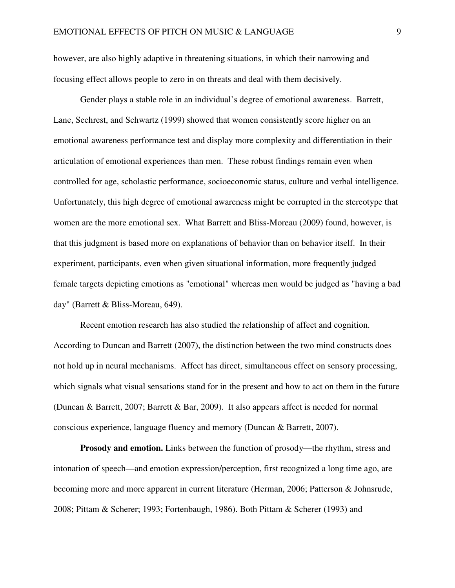however, are also highly adaptive in threatening situations, in which their narrowing and focusing effect allows people to zero in on threats and deal with them decisively.

 Gender plays a stable role in an individual's degree of emotional awareness. Barrett, Lane, Sechrest, and Schwartz (1999) showed that women consistently score higher on an emotional awareness performance test and display more complexity and differentiation in their articulation of emotional experiences than men. These robust findings remain even when controlled for age, scholastic performance, socioeconomic status, culture and verbal intelligence. Unfortunately, this high degree of emotional awareness might be corrupted in the stereotype that women are the more emotional sex. What Barrett and Bliss-Moreau (2009) found, however, is that this judgment is based more on explanations of behavior than on behavior itself. In their experiment, participants, even when given situational information, more frequently judged female targets depicting emotions as "emotional" whereas men would be judged as "having a bad day" (Barrett & Bliss-Moreau, 649).

 Recent emotion research has also studied the relationship of affect and cognition. According to Duncan and Barrett (2007), the distinction between the two mind constructs does not hold up in neural mechanisms. Affect has direct, simultaneous effect on sensory processing, which signals what visual sensations stand for in the present and how to act on them in the future (Duncan & Barrett, 2007; Barrett & Bar, 2009). It also appears affect is needed for normal conscious experience, language fluency and memory (Duncan & Barrett, 2007).

**Prosody and emotion.** Links between the function of prosody—the rhythm, stress and intonation of speech—and emotion expression/perception, first recognized a long time ago, are becoming more and more apparent in current literature (Herman, 2006; Patterson & Johnsrude, 2008; Pittam & Scherer; 1993; Fortenbaugh, 1986). Both Pittam & Scherer (1993) and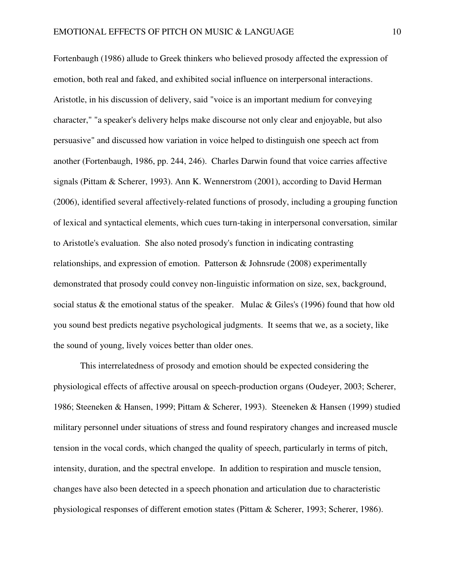Fortenbaugh (1986) allude to Greek thinkers who believed prosody affected the expression of emotion, both real and faked, and exhibited social influence on interpersonal interactions. Aristotle, in his discussion of delivery, said "voice is an important medium for conveying character," "a speaker's delivery helps make discourse not only clear and enjoyable, but also persuasive" and discussed how variation in voice helped to distinguish one speech act from another (Fortenbaugh, 1986, pp. 244, 246). Charles Darwin found that voice carries affective signals (Pittam & Scherer, 1993). Ann K. Wennerstrom (2001), according to David Herman (2006), identified several affectively-related functions of prosody, including a grouping function of lexical and syntactical elements, which cues turn-taking in interpersonal conversation, similar to Aristotle's evaluation. She also noted prosody's function in indicating contrasting relationships, and expression of emotion. Patterson & Johnsrude (2008) experimentally demonstrated that prosody could convey non-linguistic information on size, sex, background, social status & the emotional status of the speaker. Mulac & Giles's (1996) found that how old you sound best predicts negative psychological judgments. It seems that we, as a society, like the sound of young, lively voices better than older ones.

 This interrelatedness of prosody and emotion should be expected considering the physiological effects of affective arousal on speech-production organs (Oudeyer, 2003; Scherer, 1986; Steeneken & Hansen, 1999; Pittam & Scherer, 1993). Steeneken & Hansen (1999) studied military personnel under situations of stress and found respiratory changes and increased muscle tension in the vocal cords, which changed the quality of speech, particularly in terms of pitch, intensity, duration, and the spectral envelope. In addition to respiration and muscle tension, changes have also been detected in a speech phonation and articulation due to characteristic physiological responses of different emotion states (Pittam & Scherer, 1993; Scherer, 1986).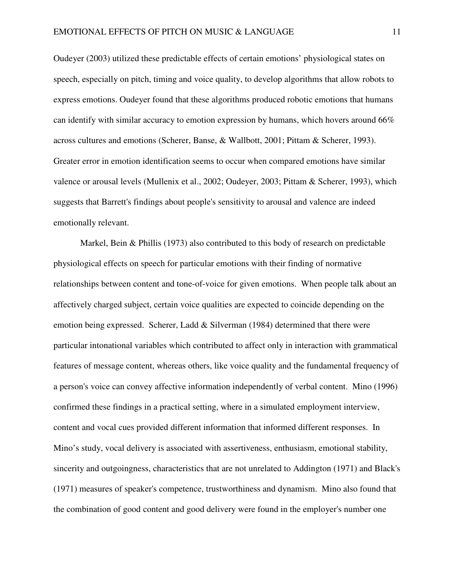Oudeyer (2003) utilized these predictable effects of certain emotions' physiological states on speech, especially on pitch, timing and voice quality, to develop algorithms that allow robots to express emotions. Oudeyer found that these algorithms produced robotic emotions that humans can identify with similar accuracy to emotion expression by humans, which hovers around 66% across cultures and emotions (Scherer, Banse, & Wallbott, 2001; Pittam & Scherer, 1993). Greater error in emotion identification seems to occur when compared emotions have similar valence or arousal levels (Mullenix et al., 2002; Oudeyer, 2003; Pittam & Scherer, 1993), which suggests that Barrett's findings about people's sensitivity to arousal and valence are indeed emotionally relevant.

 Markel, Bein & Phillis (1973) also contributed to this body of research on predictable physiological effects on speech for particular emotions with their finding of normative relationships between content and tone-of-voice for given emotions. When people talk about an affectively charged subject, certain voice qualities are expected to coincide depending on the emotion being expressed. Scherer, Ladd & Silverman (1984) determined that there were particular intonational variables which contributed to affect only in interaction with grammatical features of message content, whereas others, like voice quality and the fundamental frequency of a person's voice can convey affective information independently of verbal content. Mino (1996) confirmed these findings in a practical setting, where in a simulated employment interview, content and vocal cues provided different information that informed different responses. In Mino's study, vocal delivery is associated with assertiveness, enthusiasm, emotional stability, sincerity and outgoingness, characteristics that are not unrelated to Addington (1971) and Black's (1971) measures of speaker's competence, trustworthiness and dynamism. Mino also found that the combination of good content and good delivery were found in the employer's number one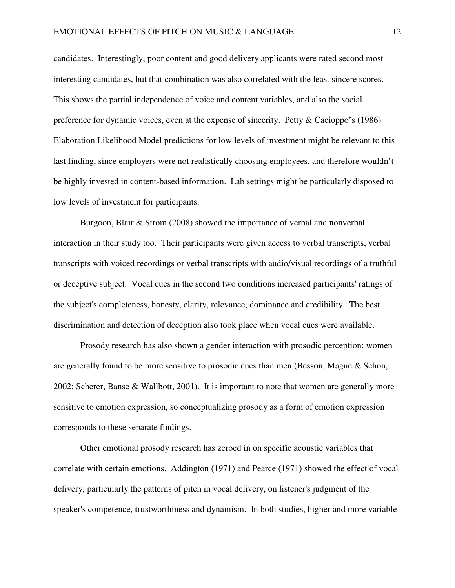candidates. Interestingly, poor content and good delivery applicants were rated second most interesting candidates, but that combination was also correlated with the least sincere scores. This shows the partial independence of voice and content variables, and also the social preference for dynamic voices, even at the expense of sincerity. Petty & Cacioppo's (1986) Elaboration Likelihood Model predictions for low levels of investment might be relevant to this last finding, since employers were not realistically choosing employees, and therefore wouldn't be highly invested in content-based information. Lab settings might be particularly disposed to low levels of investment for participants.

Burgoon, Blair & Strom (2008) showed the importance of verbal and nonverbal interaction in their study too. Their participants were given access to verbal transcripts, verbal transcripts with voiced recordings or verbal transcripts with audio/visual recordings of a truthful or deceptive subject. Vocal cues in the second two conditions increased participants' ratings of the subject's completeness, honesty, clarity, relevance, dominance and credibility. The best discrimination and detection of deception also took place when vocal cues were available.

Prosody research has also shown a gender interaction with prosodic perception; women are generally found to be more sensitive to prosodic cues than men (Besson, Magne & Schon, 2002; Scherer, Banse & Wallbott, 2001). It is important to note that women are generally more sensitive to emotion expression, so conceptualizing prosody as a form of emotion expression corresponds to these separate findings.

 Other emotional prosody research has zeroed in on specific acoustic variables that correlate with certain emotions. Addington (1971) and Pearce (1971) showed the effect of vocal delivery, particularly the patterns of pitch in vocal delivery, on listener's judgment of the speaker's competence, trustworthiness and dynamism. In both studies, higher and more variable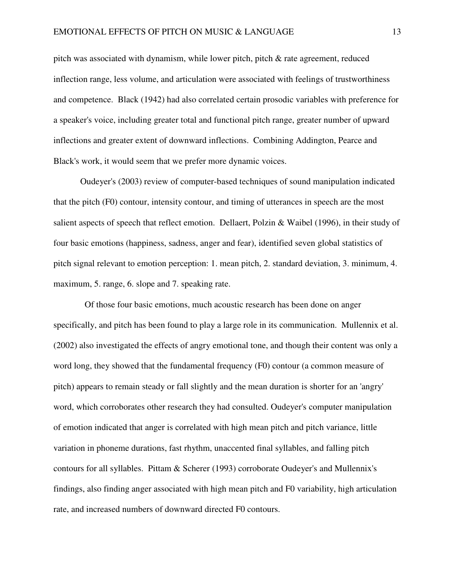pitch was associated with dynamism, while lower pitch, pitch & rate agreement, reduced inflection range, less volume, and articulation were associated with feelings of trustworthiness and competence. Black (1942) had also correlated certain prosodic variables with preference for a speaker's voice, including greater total and functional pitch range, greater number of upward inflections and greater extent of downward inflections. Combining Addington, Pearce and Black's work, it would seem that we prefer more dynamic voices.

Oudeyer's (2003) review of computer-based techniques of sound manipulation indicated that the pitch (F0) contour, intensity contour, and timing of utterances in speech are the most salient aspects of speech that reflect emotion. Dellaert, Polzin & Waibel (1996), in their study of four basic emotions (happiness, sadness, anger and fear), identified seven global statistics of pitch signal relevant to emotion perception: 1. mean pitch, 2. standard deviation, 3. minimum, 4. maximum, 5. range, 6. slope and 7. speaking rate.

 Of those four basic emotions, much acoustic research has been done on anger specifically, and pitch has been found to play a large role in its communication. Mullennix et al. (2002) also investigated the effects of angry emotional tone, and though their content was only a word long, they showed that the fundamental frequency (F0) contour (a common measure of pitch) appears to remain steady or fall slightly and the mean duration is shorter for an 'angry' word, which corroborates other research they had consulted. Oudeyer's computer manipulation of emotion indicated that anger is correlated with high mean pitch and pitch variance, little variation in phoneme durations, fast rhythm, unaccented final syllables, and falling pitch contours for all syllables. Pittam & Scherer (1993) corroborate Oudeyer's and Mullennix's findings, also finding anger associated with high mean pitch and F0 variability, high articulation rate, and increased numbers of downward directed F0 contours.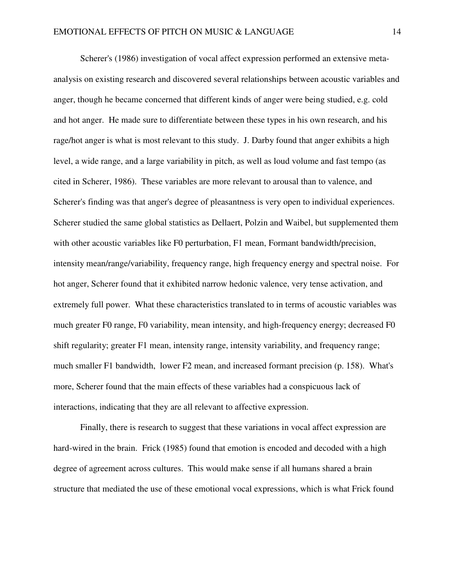Scherer's (1986) investigation of vocal affect expression performed an extensive metaanalysis on existing research and discovered several relationships between acoustic variables and anger, though he became concerned that different kinds of anger were being studied, e.g. cold and hot anger. He made sure to differentiate between these types in his own research, and his rage/hot anger is what is most relevant to this study. J. Darby found that anger exhibits a high level, a wide range, and a large variability in pitch, as well as loud volume and fast tempo (as cited in Scherer, 1986). These variables are more relevant to arousal than to valence, and Scherer's finding was that anger's degree of pleasantness is very open to individual experiences. Scherer studied the same global statistics as Dellaert, Polzin and Waibel, but supplemented them with other acoustic variables like F0 perturbation, F1 mean, Formant bandwidth/precision, intensity mean/range/variability, frequency range, high frequency energy and spectral noise. For hot anger, Scherer found that it exhibited narrow hedonic valence, very tense activation, and extremely full power. What these characteristics translated to in terms of acoustic variables was much greater F0 range, F0 variability, mean intensity, and high-frequency energy; decreased F0 shift regularity; greater F1 mean, intensity range, intensity variability, and frequency range; much smaller F1 bandwidth, lower F2 mean, and increased formant precision (p. 158). What's more, Scherer found that the main effects of these variables had a conspicuous lack of interactions, indicating that they are all relevant to affective expression.

 Finally, there is research to suggest that these variations in vocal affect expression are hard-wired in the brain. Frick (1985) found that emotion is encoded and decoded with a high degree of agreement across cultures. This would make sense if all humans shared a brain structure that mediated the use of these emotional vocal expressions, which is what Frick found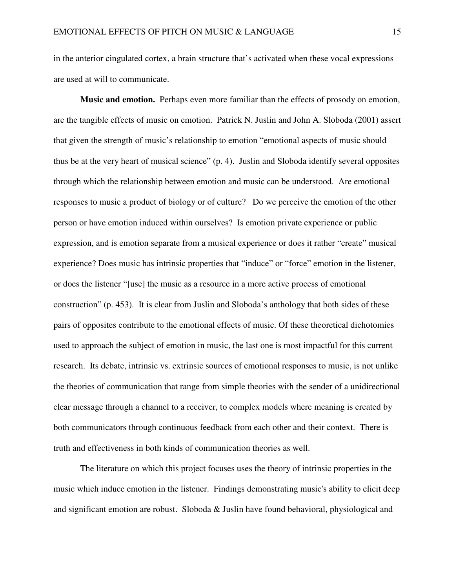in the anterior cingulated cortex, a brain structure that's activated when these vocal expressions are used at will to communicate.

 **Music and emotion.** Perhaps even more familiar than the effects of prosody on emotion, are the tangible effects of music on emotion. Patrick N. Juslin and John A. Sloboda (2001) assert that given the strength of music's relationship to emotion "emotional aspects of music should thus be at the very heart of musical science" (p. 4). Juslin and Sloboda identify several opposites through which the relationship between emotion and music can be understood. Are emotional responses to music a product of biology or of culture? Do we perceive the emotion of the other person or have emotion induced within ourselves? Is emotion private experience or public expression, and is emotion separate from a musical experience or does it rather "create" musical experience? Does music has intrinsic properties that "induce" or "force" emotion in the listener, or does the listener "[use] the music as a resource in a more active process of emotional construction" (p. 453). It is clear from Juslin and Sloboda's anthology that both sides of these pairs of opposites contribute to the emotional effects of music. Of these theoretical dichotomies used to approach the subject of emotion in music, the last one is most impactful for this current research. Its debate, intrinsic vs. extrinsic sources of emotional responses to music, is not unlike the theories of communication that range from simple theories with the sender of a unidirectional clear message through a channel to a receiver, to complex models where meaning is created by both communicators through continuous feedback from each other and their context. There is truth and effectiveness in both kinds of communication theories as well.

The literature on which this project focuses uses the theory of intrinsic properties in the music which induce emotion in the listener. Findings demonstrating music's ability to elicit deep and significant emotion are robust. Sloboda & Juslin have found behavioral, physiological and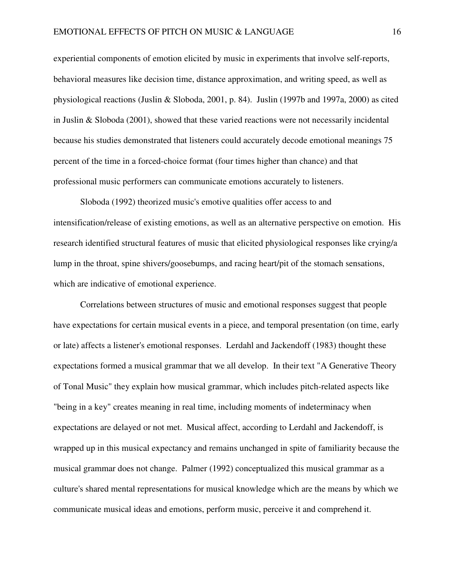experiential components of emotion elicited by music in experiments that involve self-reports, behavioral measures like decision time, distance approximation, and writing speed, as well as physiological reactions (Juslin & Sloboda, 2001, p. 84). Juslin (1997b and 1997a, 2000) as cited in Juslin & Sloboda (2001), showed that these varied reactions were not necessarily incidental because his studies demonstrated that listeners could accurately decode emotional meanings 75 percent of the time in a forced-choice format (four times higher than chance) and that professional music performers can communicate emotions accurately to listeners.

Sloboda (1992) theorized music's emotive qualities offer access to and intensification/release of existing emotions, as well as an alternative perspective on emotion. His research identified structural features of music that elicited physiological responses like crying/a lump in the throat, spine shivers/goosebumps, and racing heart/pit of the stomach sensations, which are indicative of emotional experience.

Correlations between structures of music and emotional responses suggest that people have expectations for certain musical events in a piece, and temporal presentation (on time, early or late) affects a listener's emotional responses. Lerdahl and Jackendoff (1983) thought these expectations formed a musical grammar that we all develop. In their text "A Generative Theory of Tonal Music" they explain how musical grammar, which includes pitch-related aspects like "being in a key" creates meaning in real time, including moments of indeterminacy when expectations are delayed or not met. Musical affect, according to Lerdahl and Jackendoff, is wrapped up in this musical expectancy and remains unchanged in spite of familiarity because the musical grammar does not change. Palmer (1992) conceptualized this musical grammar as a culture's shared mental representations for musical knowledge which are the means by which we communicate musical ideas and emotions, perform music, perceive it and comprehend it.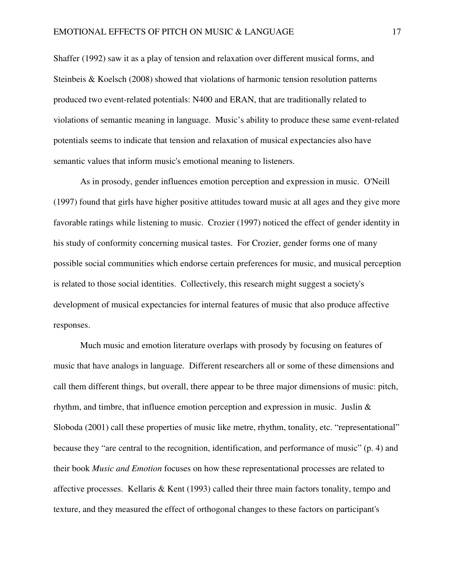Shaffer (1992) saw it as a play of tension and relaxation over different musical forms, and Steinbeis & Koelsch (2008) showed that violations of harmonic tension resolution patterns produced two event-related potentials: N400 and ERAN, that are traditionally related to violations of semantic meaning in language. Music's ability to produce these same event-related potentials seems to indicate that tension and relaxation of musical expectancies also have semantic values that inform music's emotional meaning to listeners.

 As in prosody, gender influences emotion perception and expression in music. O'Neill (1997) found that girls have higher positive attitudes toward music at all ages and they give more favorable ratings while listening to music. Crozier (1997) noticed the effect of gender identity in his study of conformity concerning musical tastes. For Crozier, gender forms one of many possible social communities which endorse certain preferences for music, and musical perception is related to those social identities. Collectively, this research might suggest a society's development of musical expectancies for internal features of music that also produce affective responses.

 Much music and emotion literature overlaps with prosody by focusing on features of music that have analogs in language. Different researchers all or some of these dimensions and call them different things, but overall, there appear to be three major dimensions of music: pitch, rhythm, and timbre, that influence emotion perception and expression in music. Juslin & Sloboda (2001) call these properties of music like metre, rhythm, tonality, etc. "representational" because they "are central to the recognition, identification, and performance of music" (p. 4) and their book *Music and Emotion* focuses on how these representational processes are related to affective processes. Kellaris & Kent (1993) called their three main factors tonality, tempo and texture, and they measured the effect of orthogonal changes to these factors on participant's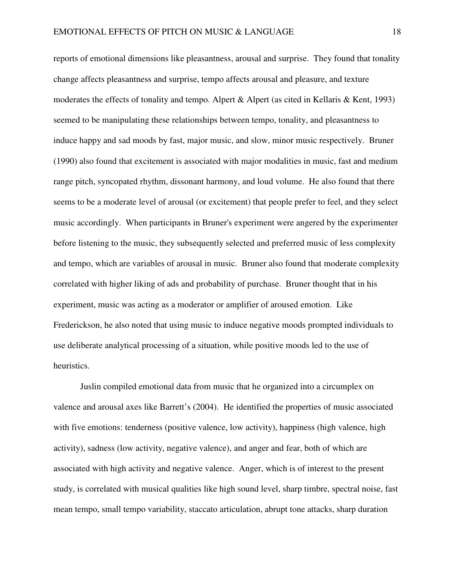reports of emotional dimensions like pleasantness, arousal and surprise. They found that tonality change affects pleasantness and surprise, tempo affects arousal and pleasure, and texture moderates the effects of tonality and tempo. Alpert & Alpert (as cited in Kellaris & Kent, 1993) seemed to be manipulating these relationships between tempo, tonality, and pleasantness to induce happy and sad moods by fast, major music, and slow, minor music respectively. Bruner (1990) also found that excitement is associated with major modalities in music, fast and medium range pitch, syncopated rhythm, dissonant harmony, and loud volume. He also found that there seems to be a moderate level of arousal (or excitement) that people prefer to feel, and they select music accordingly. When participants in Bruner's experiment were angered by the experimenter before listening to the music, they subsequently selected and preferred music of less complexity and tempo, which are variables of arousal in music. Bruner also found that moderate complexity correlated with higher liking of ads and probability of purchase. Bruner thought that in his experiment, music was acting as a moderator or amplifier of aroused emotion. Like Frederickson, he also noted that using music to induce negative moods prompted individuals to use deliberate analytical processing of a situation, while positive moods led to the use of heuristics.

 Juslin compiled emotional data from music that he organized into a circumplex on valence and arousal axes like Barrett's (2004). He identified the properties of music associated with five emotions: tenderness (positive valence, low activity), happiness (high valence, high activity), sadness (low activity, negative valence), and anger and fear, both of which are associated with high activity and negative valence. Anger, which is of interest to the present study, is correlated with musical qualities like high sound level, sharp timbre, spectral noise, fast mean tempo, small tempo variability, staccato articulation, abrupt tone attacks, sharp duration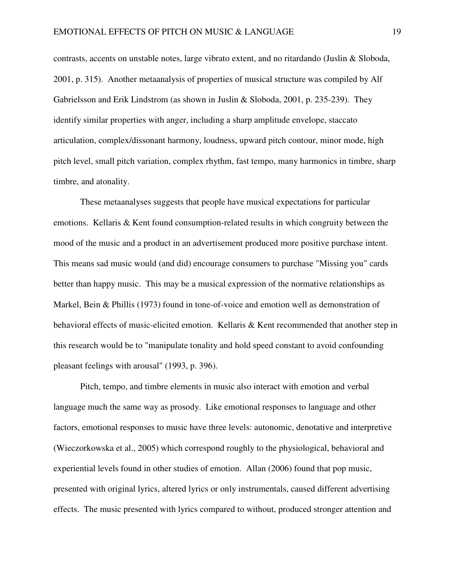contrasts, accents on unstable notes, large vibrato extent, and no ritardando (Juslin & Sloboda, 2001, p. 315). Another metaanalysis of properties of musical structure was compiled by Alf Gabrielsson and Erik Lindstrom (as shown in Juslin & Sloboda, 2001, p. 235-239). They identify similar properties with anger, including a sharp amplitude envelope, staccato articulation, complex/dissonant harmony, loudness, upward pitch contour, minor mode, high pitch level, small pitch variation, complex rhythm, fast tempo, many harmonics in timbre, sharp timbre, and atonality.

 These metaanalyses suggests that people have musical expectations for particular emotions. Kellaris & Kent found consumption-related results in which congruity between the mood of the music and a product in an advertisement produced more positive purchase intent. This means sad music would (and did) encourage consumers to purchase "Missing you" cards better than happy music. This may be a musical expression of the normative relationships as Markel, Bein & Phillis (1973) found in tone-of-voice and emotion well as demonstration of behavioral effects of music-elicited emotion. Kellaris & Kent recommended that another step in this research would be to "manipulate tonality and hold speed constant to avoid confounding pleasant feelings with arousal" (1993, p. 396).

 Pitch, tempo, and timbre elements in music also interact with emotion and verbal language much the same way as prosody. Like emotional responses to language and other factors, emotional responses to music have three levels: autonomic, denotative and interpretive (Wieczorkowska et al., 2005) which correspond roughly to the physiological, behavioral and experiential levels found in other studies of emotion. Allan (2006) found that pop music, presented with original lyrics, altered lyrics or only instrumentals, caused different advertising effects. The music presented with lyrics compared to without, produced stronger attention and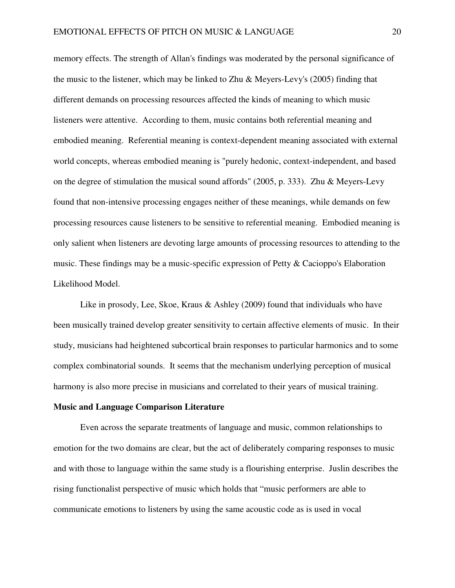memory effects. The strength of Allan's findings was moderated by the personal significance of the music to the listener, which may be linked to Zhu  $\&$  Meyers-Levy's (2005) finding that different demands on processing resources affected the kinds of meaning to which music listeners were attentive. According to them, music contains both referential meaning and embodied meaning. Referential meaning is context-dependent meaning associated with external world concepts, whereas embodied meaning is "purely hedonic, context-independent, and based on the degree of stimulation the musical sound affords" (2005, p. 333). Zhu & Meyers-Levy found that non-intensive processing engages neither of these meanings, while demands on few processing resources cause listeners to be sensitive to referential meaning. Embodied meaning is only salient when listeners are devoting large amounts of processing resources to attending to the music. These findings may be a music-specific expression of Petty & Cacioppo's Elaboration Likelihood Model.

 Like in prosody, Lee, Skoe, Kraus & Ashley (2009) found that individuals who have been musically trained develop greater sensitivity to certain affective elements of music. In their study, musicians had heightened subcortical brain responses to particular harmonics and to some complex combinatorial sounds. It seems that the mechanism underlying perception of musical harmony is also more precise in musicians and correlated to their years of musical training.

## **Music and Language Comparison Literature**

 Even across the separate treatments of language and music, common relationships to emotion for the two domains are clear, but the act of deliberately comparing responses to music and with those to language within the same study is a flourishing enterprise. Juslin describes the rising functionalist perspective of music which holds that "music performers are able to communicate emotions to listeners by using the same acoustic code as is used in vocal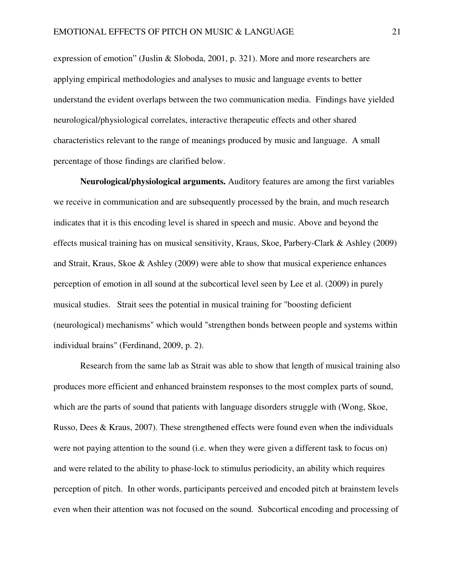expression of emotion" (Juslin & Sloboda, 2001, p. 321). More and more researchers are applying empirical methodologies and analyses to music and language events to better understand the evident overlaps between the two communication media. Findings have yielded neurological/physiological correlates, interactive therapeutic effects and other shared characteristics relevant to the range of meanings produced by music and language. A small percentage of those findings are clarified below.

 **Neurological/physiological arguments.** Auditory features are among the first variables we receive in communication and are subsequently processed by the brain, and much research indicates that it is this encoding level is shared in speech and music. Above and beyond the effects musical training has on musical sensitivity, Kraus, Skoe, Parbery-Clark & Ashley (2009) and Strait, Kraus, Skoe & Ashley (2009) were able to show that musical experience enhances perception of emotion in all sound at the subcortical level seen by Lee et al. (2009) in purely musical studies. Strait sees the potential in musical training for "boosting deficient (neurological) mechanisms" which would "strengthen bonds between people and systems within individual brains" (Ferdinand, 2009, p. 2).

 Research from the same lab as Strait was able to show that length of musical training also produces more efficient and enhanced brainstem responses to the most complex parts of sound, which are the parts of sound that patients with language disorders struggle with (Wong, Skoe, Russo, Dees & Kraus, 2007). These strengthened effects were found even when the individuals were not paying attention to the sound (i.e. when they were given a different task to focus on) and were related to the ability to phase-lock to stimulus periodicity, an ability which requires perception of pitch. In other words, participants perceived and encoded pitch at brainstem levels even when their attention was not focused on the sound. Subcortical encoding and processing of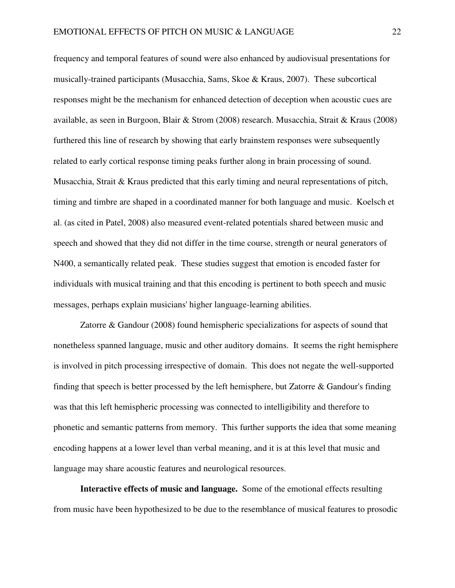frequency and temporal features of sound were also enhanced by audiovisual presentations for musically-trained participants (Musacchia, Sams, Skoe & Kraus, 2007). These subcortical responses might be the mechanism for enhanced detection of deception when acoustic cues are available, as seen in Burgoon, Blair & Strom (2008) research. Musacchia, Strait & Kraus (2008) furthered this line of research by showing that early brainstem responses were subsequently related to early cortical response timing peaks further along in brain processing of sound. Musacchia, Strait & Kraus predicted that this early timing and neural representations of pitch, timing and timbre are shaped in a coordinated manner for both language and music. Koelsch et al. (as cited in Patel, 2008) also measured event-related potentials shared between music and speech and showed that they did not differ in the time course, strength or neural generators of N400, a semantically related peak. These studies suggest that emotion is encoded faster for individuals with musical training and that this encoding is pertinent to both speech and music messages, perhaps explain musicians' higher language-learning abilities.

 Zatorre & Gandour (2008) found hemispheric specializations for aspects of sound that nonetheless spanned language, music and other auditory domains. It seems the right hemisphere is involved in pitch processing irrespective of domain. This does not negate the well-supported finding that speech is better processed by the left hemisphere, but Zatorre & Gandour's finding was that this left hemispheric processing was connected to intelligibility and therefore to phonetic and semantic patterns from memory. This further supports the idea that some meaning encoding happens at a lower level than verbal meaning, and it is at this level that music and language may share acoustic features and neurological resources.

 **Interactive effects of music and language.** Some of the emotional effects resulting from music have been hypothesized to be due to the resemblance of musical features to prosodic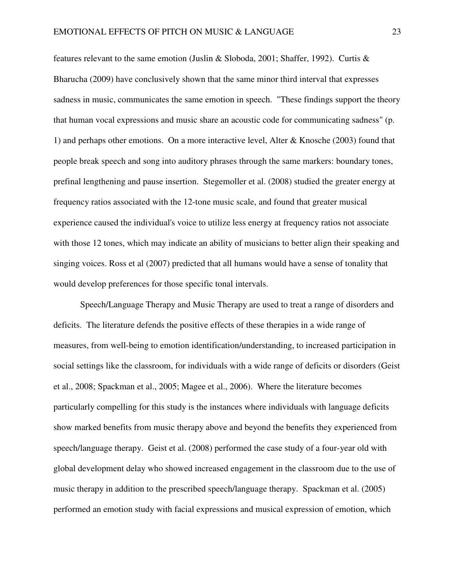features relevant to the same emotion (Juslin & Sloboda, 2001; Shaffer, 1992). Curtis & Bharucha (2009) have conclusively shown that the same minor third interval that expresses sadness in music, communicates the same emotion in speech. "These findings support the theory that human vocal expressions and music share an acoustic code for communicating sadness" (p. 1) and perhaps other emotions. On a more interactive level, Alter & Knosche (2003) found that people break speech and song into auditory phrases through the same markers: boundary tones, prefinal lengthening and pause insertion. Stegemoller et al. (2008) studied the greater energy at frequency ratios associated with the 12-tone music scale, and found that greater musical experience caused the individual's voice to utilize less energy at frequency ratios not associate with those 12 tones, which may indicate an ability of musicians to better align their speaking and singing voices. Ross et al (2007) predicted that all humans would have a sense of tonality that would develop preferences for those specific tonal intervals.

 Speech/Language Therapy and Music Therapy are used to treat a range of disorders and deficits. The literature defends the positive effects of these therapies in a wide range of measures, from well-being to emotion identification/understanding, to increased participation in social settings like the classroom, for individuals with a wide range of deficits or disorders (Geist et al., 2008; Spackman et al., 2005; Magee et al., 2006). Where the literature becomes particularly compelling for this study is the instances where individuals with language deficits show marked benefits from music therapy above and beyond the benefits they experienced from speech/language therapy. Geist et al. (2008) performed the case study of a four-year old with global development delay who showed increased engagement in the classroom due to the use of music therapy in addition to the prescribed speech/language therapy. Spackman et al. (2005) performed an emotion study with facial expressions and musical expression of emotion, which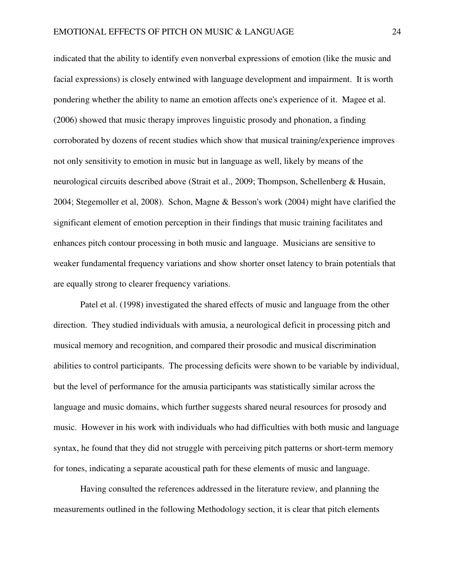indicated that the ability to identify even nonverbal expressions of emotion (like the music and facial expressions) is closely entwined with language development and impairment. It is worth pondering whether the ability to name an emotion affects one's experience of it. Magee et al. (2006) showed that music therapy improves linguistic prosody and phonation, a finding corroborated by dozens of recent studies which show that musical training/experience improves not only sensitivity to emotion in music but in language as well, likely by means of the neurological circuits described above (Strait et al., 2009; Thompson, Schellenberg & Husain, 2004; Stegemoller et al, 2008). Schon, Magne & Besson's work (2004) might have clarified the significant element of emotion perception in their findings that music training facilitates and enhances pitch contour processing in both music and language. Musicians are sensitive to weaker fundamental frequency variations and show shorter onset latency to brain potentials that are equally strong to clearer frequency variations.

 Patel et al. (1998) investigated the shared effects of music and language from the other direction. They studied individuals with amusia, a neurological deficit in processing pitch and musical memory and recognition, and compared their prosodic and musical discrimination abilities to control participants. The processing deficits were shown to be variable by individual, but the level of performance for the amusia participants was statistically similar across the language and music domains, which further suggests shared neural resources for prosody and music. However in his work with individuals who had difficulties with both music and language syntax, he found that they did not struggle with perceiving pitch patterns or short-term memory for tones, indicating a separate acoustical path for these elements of music and language.

 Having consulted the references addressed in the literature review, and planning the measurements outlined in the following Methodology section, it is clear that pitch elements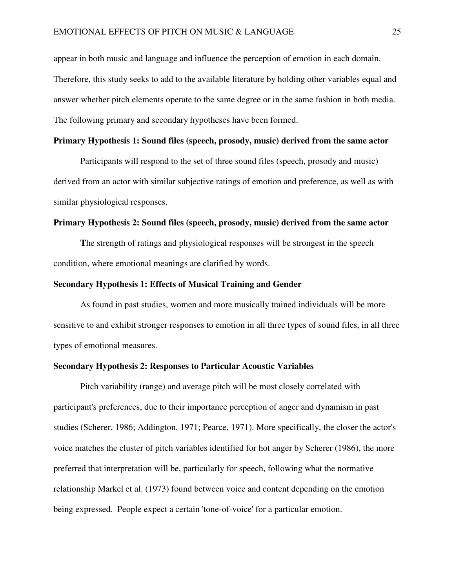appear in both music and language and influence the perception of emotion in each domain. Therefore, this study seeks to add to the available literature by holding other variables equal and answer whether pitch elements operate to the same degree or in the same fashion in both media. The following primary and secondary hypotheses have been formed.

# **Primary Hypothesis 1: Sound files (speech, prosody, music) derived from the same actor**

Participants will respond to the set of three sound files (speech, prosody and music) derived from an actor with similar subjective ratings of emotion and preference, as well as with similar physiological responses.

### **Primary Hypothesis 2: Sound files (speech, prosody, music) derived from the same actor**

**T**he strength of ratings and physiological responses will be strongest in the speech condition, where emotional meanings are clarified by words.

### **Secondary Hypothesis 1: Effects of Musical Training and Gender**

As found in past studies, women and more musically trained individuals will be more sensitive to and exhibit stronger responses to emotion in all three types of sound files, in all three types of emotional measures.

# **Secondary Hypothesis 2: Responses to Particular Acoustic Variables**

Pitch variability (range) and average pitch will be most closely correlated with participant's preferences, due to their importance perception of anger and dynamism in past studies (Scherer, 1986; Addington, 1971; Pearce, 1971). More specifically, the closer the actor's voice matches the cluster of pitch variables identified for hot anger by Scherer (1986), the more preferred that interpretation will be, particularly for speech, following what the normative relationship Markel et al. (1973) found between voice and content depending on the emotion being expressed. People expect a certain 'tone-of-voice' for a particular emotion.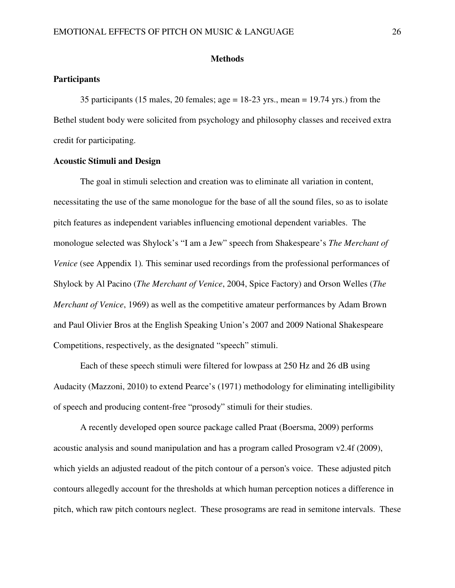# **Methods**

# **Participants**

35 participants (15 males, 20 females; age  $= 18-23$  yrs., mean  $= 19.74$  yrs.) from the Bethel student body were solicited from psychology and philosophy classes and received extra credit for participating.

# **Acoustic Stimuli and Design**

The goal in stimuli selection and creation was to eliminate all variation in content, necessitating the use of the same monologue for the base of all the sound files, so as to isolate pitch features as independent variables influencing emotional dependent variables. The monologue selected was Shylock's "I am a Jew" speech from Shakespeare's *The Merchant of Venice* (see Appendix 1). This seminar used recordings from the professional performances of Shylock by Al Pacino (*The Merchant of Venice*, 2004, Spice Factory) and Orson Welles (*The Merchant of Venice*, 1969) as well as the competitive amateur performances by Adam Brown and Paul Olivier Bros at the English Speaking Union's 2007 and 2009 National Shakespeare Competitions, respectively, as the designated "speech" stimuli.

Each of these speech stimuli were filtered for lowpass at 250 Hz and 26 dB using Audacity (Mazzoni, 2010) to extend Pearce's (1971) methodology for eliminating intelligibility of speech and producing content-free "prosody" stimuli for their studies.

A recently developed open source package called Praat (Boersma, 2009) performs acoustic analysis and sound manipulation and has a program called Prosogram v2.4f (2009), which yields an adjusted readout of the pitch contour of a person's voice. These adjusted pitch contours allegedly account for the thresholds at which human perception notices a difference in pitch, which raw pitch contours neglect. These prosograms are read in semitone intervals. These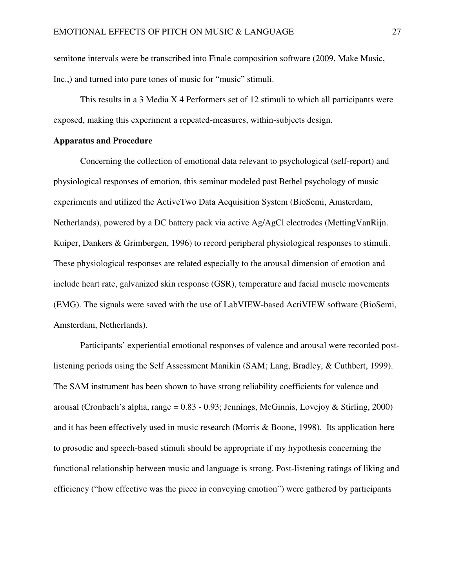semitone intervals were be transcribed into Finale composition software (2009, Make Music, Inc.,) and turned into pure tones of music for "music" stimuli.

This results in a 3 Media X 4 Performers set of 12 stimuli to which all participants were exposed, making this experiment a repeated-measures, within-subjects design.

# **Apparatus and Procedure**

 Concerning the collection of emotional data relevant to psychological (self-report) and physiological responses of emotion, this seminar modeled past Bethel psychology of music experiments and utilized the ActiveTwo Data Acquisition System (BioSemi, Amsterdam, Netherlands), powered by a DC battery pack via active Ag/AgCl electrodes (MettingVanRijn. Kuiper, Dankers & Grimbergen, 1996) to record peripheral physiological responses to stimuli. These physiological responses are related especially to the arousal dimension of emotion and include heart rate, galvanized skin response (GSR), temperature and facial muscle movements (EMG). The signals were saved with the use of LabVIEW-based ActiVIEW software (BioSemi, Amsterdam, Netherlands).

Participants' experiential emotional responses of valence and arousal were recorded postlistening periods using the Self Assessment Manikin (SAM; Lang, Bradley, & Cuthbert, 1999). The SAM instrument has been shown to have strong reliability coefficients for valence and arousal (Cronbach's alpha, range  $= 0.83 - 0.93$ ; Jennings, McGinnis, Lovejoy & Stirling, 2000) and it has been effectively used in music research (Morris & Boone, 1998). Its application here to prosodic and speech-based stimuli should be appropriate if my hypothesis concerning the functional relationship between music and language is strong. Post-listening ratings of liking and efficiency ("how effective was the piece in conveying emotion") were gathered by participants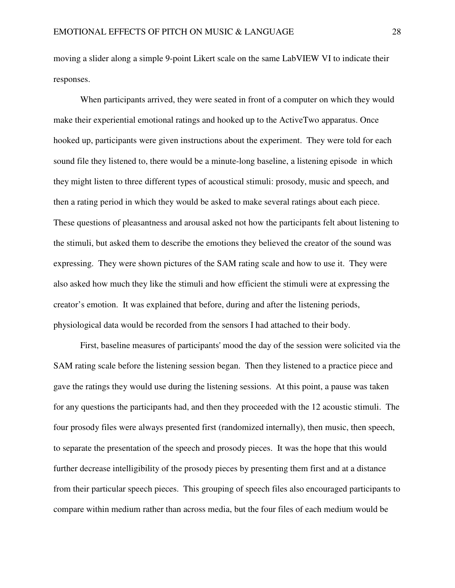moving a slider along a simple 9-point Likert scale on the same LabVIEW VI to indicate their responses.

 When participants arrived, they were seated in front of a computer on which they would make their experiential emotional ratings and hooked up to the ActiveTwo apparatus. Once hooked up, participants were given instructions about the experiment. They were told for each sound file they listened to, there would be a minute-long baseline, a listening episode in which they might listen to three different types of acoustical stimuli: prosody, music and speech, and then a rating period in which they would be asked to make several ratings about each piece. These questions of pleasantness and arousal asked not how the participants felt about listening to the stimuli, but asked them to describe the emotions they believed the creator of the sound was expressing. They were shown pictures of the SAM rating scale and how to use it. They were also asked how much they like the stimuli and how efficient the stimuli were at expressing the creator's emotion. It was explained that before, during and after the listening periods, physiological data would be recorded from the sensors I had attached to their body.

 First, baseline measures of participants' mood the day of the session were solicited via the SAM rating scale before the listening session began. Then they listened to a practice piece and gave the ratings they would use during the listening sessions. At this point, a pause was taken for any questions the participants had, and then they proceeded with the 12 acoustic stimuli. The four prosody files were always presented first (randomized internally), then music, then speech, to separate the presentation of the speech and prosody pieces. It was the hope that this would further decrease intelligibility of the prosody pieces by presenting them first and at a distance from their particular speech pieces. This grouping of speech files also encouraged participants to compare within medium rather than across media, but the four files of each medium would be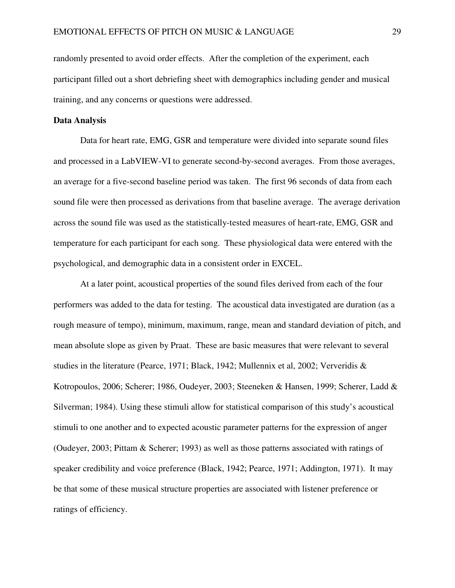randomly presented to avoid order effects. After the completion of the experiment, each participant filled out a short debriefing sheet with demographics including gender and musical training, and any concerns or questions were addressed.

# **Data Analysis**

Data for heart rate, EMG, GSR and temperature were divided into separate sound files and processed in a LabVIEW-VI to generate second-by-second averages. From those averages, an average for a five-second baseline period was taken. The first 96 seconds of data from each sound file were then processed as derivations from that baseline average. The average derivation across the sound file was used as the statistically-tested measures of heart-rate, EMG, GSR and temperature for each participant for each song. These physiological data were entered with the psychological, and demographic data in a consistent order in EXCEL.

At a later point, acoustical properties of the sound files derived from each of the four performers was added to the data for testing. The acoustical data investigated are duration (as a rough measure of tempo), minimum, maximum, range, mean and standard deviation of pitch, and mean absolute slope as given by Praat. These are basic measures that were relevant to several studies in the literature (Pearce, 1971; Black, 1942; Mullennix et al, 2002; Ververidis & Kotropoulos, 2006; Scherer; 1986, Oudeyer, 2003; Steeneken & Hansen, 1999; Scherer, Ladd & Silverman; 1984). Using these stimuli allow for statistical comparison of this study's acoustical stimuli to one another and to expected acoustic parameter patterns for the expression of anger (Oudeyer, 2003; Pittam & Scherer; 1993) as well as those patterns associated with ratings of speaker credibility and voice preference (Black, 1942; Pearce, 1971; Addington, 1971). It may be that some of these musical structure properties are associated with listener preference or ratings of efficiency.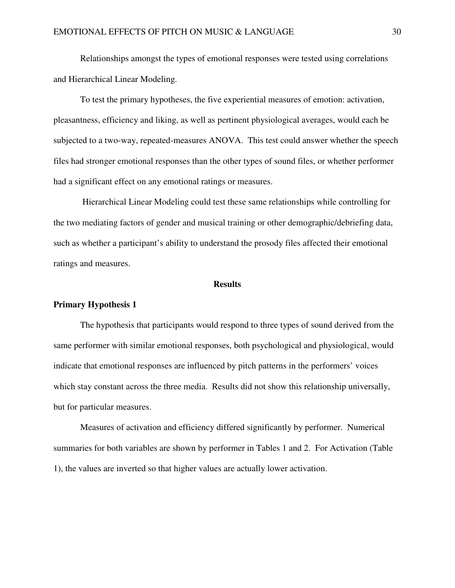Relationships amongst the types of emotional responses were tested using correlations and Hierarchical Linear Modeling.

To test the primary hypotheses, the five experiential measures of emotion: activation, pleasantness, efficiency and liking, as well as pertinent physiological averages, would each be subjected to a two-way, repeated-measures ANOVA. This test could answer whether the speech files had stronger emotional responses than the other types of sound files, or whether performer had a significant effect on any emotional ratings or measures.

 Hierarchical Linear Modeling could test these same relationships while controlling for the two mediating factors of gender and musical training or other demographic/debriefing data, such as whether a participant's ability to understand the prosody files affected their emotional ratings and measures.

#### **Results**

### **Primary Hypothesis 1**

 The hypothesis that participants would respond to three types of sound derived from the same performer with similar emotional responses, both psychological and physiological, would indicate that emotional responses are influenced by pitch patterns in the performers' voices which stay constant across the three media. Results did not show this relationship universally, but for particular measures.

 Measures of activation and efficiency differed significantly by performer. Numerical summaries for both variables are shown by performer in Tables 1 and 2. For Activation (Table 1), the values are inverted so that higher values are actually lower activation.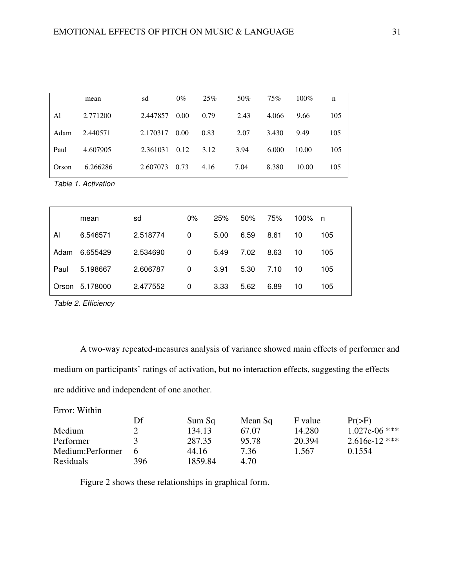|       | mean     | sd       | $0\%$ | 25%  | 50%  | 75%   | $100\%$ | n   |
|-------|----------|----------|-------|------|------|-------|---------|-----|
| Al    | 2.771200 | 2.447857 | 0.00  | 0.79 | 2.43 | 4.066 | 9.66    | 105 |
| Adam  | 2.440571 | 2.170317 | 0.00  | 0.83 | 2.07 | 3.430 | 9.49    | 105 |
| Paul  | 4.607905 | 2.361031 | 0.12  | 3.12 | 3.94 | 6.000 | 10.00   | 105 |
| Orson | 6.266286 | 2.607073 | 0.73  | 4.16 | 7.04 | 8.380 | 10.00   | 105 |

Table 1. Activation

|      | mean           | sd       | $0\%$        | 25%  | 50%  | 75%  | 100% n |     |
|------|----------------|----------|--------------|------|------|------|--------|-----|
| Al   | 6.546571       | 2.518774 | 0            | 5.00 | 6.59 | 8.61 | 10     | 105 |
| Adam | 6.655429       | 2.534690 | $\mathbf{0}$ | 5.49 | 7.02 | 8.63 | 10     | 105 |
| Paul | 5.198667       | 2.606787 | 0            | 3.91 | 5.30 | 7.10 | 10     | 105 |
|      | Orson 5.178000 | 2.477552 | 0            | 3.33 | 5.62 | 6.89 | 10     | 105 |

Table 2. Efficiency

 A two-way repeated-measures analysis of variance showed main effects of performer and medium on participants' ratings of activation, but no interaction effects, suggesting the effects are additive and independent of one another.

Error: Within

|                   | Df  | Sum Sq  | Mean Sq | F value | $Pr(>=F)$       |
|-------------------|-----|---------|---------|---------|-----------------|
| Medium            |     | 134.13  | 67.07   | 14.280  | 1.027e-06 ***   |
| Performer         |     | 287.35  | 95.78   | 20.394  | $2.616e-12$ *** |
| Medium: Performer |     | 44.16   | 7.36    | 1.567   | 0.1554          |
| <b>Residuals</b>  | 396 | 1859.84 | 4.70    |         |                 |

Figure 2 shows these relationships in graphical form.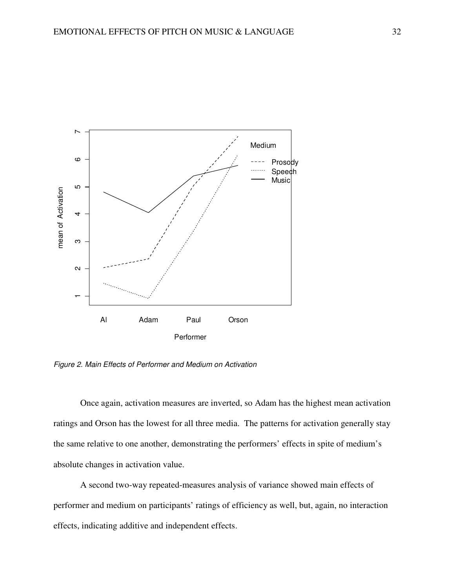

Figure 2. Main Effects of Performer and Medium on Activation

Once again, activation measures are inverted, so Adam has the highest mean activation ratings and Orson has the lowest for all three media. The patterns for activation generally stay the same relative to one another, demonstrating the performers' effects in spite of medium's absolute changes in activation value.

A second two-way repeated-measures analysis of variance showed main effects of performer and medium on participants' ratings of efficiency as well, but, again, no interaction effects, indicating additive and independent effects.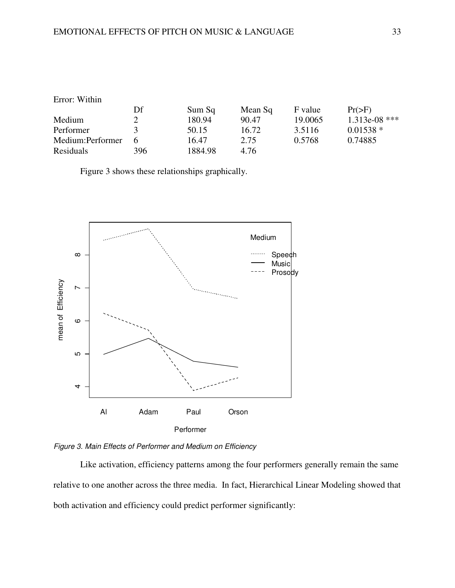# Error: Within

|                   | Df            | Sum Sq  | Mean Sq | F value | $Pr(>=F)$     |
|-------------------|---------------|---------|---------|---------|---------------|
| Medium            |               | 180.94  | 90.47   | 19.0065 | 1.313e-08 *** |
| Performer         | $\mathcal{R}$ | 50.15   | 16.72   | 3.5116  | $0.01538*$    |
| Medium: Performer | $\mathsf{f}$  | 16.47   | 2.75    | 0.5768  | 0.74885       |
| <b>Residuals</b>  | 396           | 1884.98 | 4.76    |         |               |

Figure 3 shows these relationships graphically.





 Like activation, efficiency patterns among the four performers generally remain the same relative to one another across the three media. In fact, Hierarchical Linear Modeling showed that both activation and efficiency could predict performer significantly: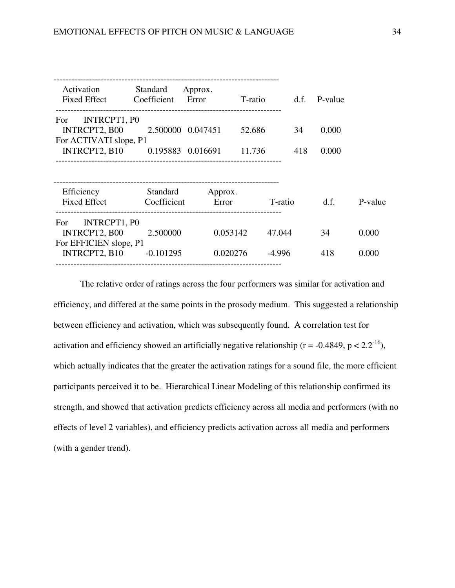| Activation<br><b>Fixed Effect</b>                                     | Standard<br>Coefficient<br>Error | Approx.  | T-ratio  | d.f. | P-value |         |
|-----------------------------------------------------------------------|----------------------------------|----------|----------|------|---------|---------|
| INTRCPT1, PO<br>For.                                                  |                                  |          |          |      |         |         |
| INTRCPT2, B00                                                         | 2.500000 0.047451                |          | 52.686   | 34   | 0.000   |         |
| For ACTIVATI slope, P1                                                |                                  |          |          |      |         |         |
| INTRCPT2, B10                                                         | 0.195883 0.016691                |          | 11.736   | 418  | 0.000   |         |
| Efficiency<br><b>Fixed Effect</b>                                     | Standard<br>Coefficient          | Approx.  |          |      |         | P-value |
|                                                                       |                                  | Error    | T-ratio  |      | d.f.    |         |
| INTRCPT1, P0<br>For<br><b>INTRCPT2, B00</b><br>For EFFICIEN slope, P1 | 2.500000                         | 0.053142 | 47.044   |      | 34      | 0.000   |
| INTRCPT2, B10                                                         | $-0.101295$                      | 0.020276 | $-4.996$ |      | 418     | 0.000   |
|                                                                       |                                  |          |          |      |         |         |

 The relative order of ratings across the four performers was similar for activation and efficiency, and differed at the same points in the prosody medium. This suggested a relationship between efficiency and activation, which was subsequently found. A correlation test for activation and efficiency showed an artificially negative relationship ( $r = -0.4849$ ,  $p < 2.2^{-16}$ ), which actually indicates that the greater the activation ratings for a sound file, the more efficient participants perceived it to be. Hierarchical Linear Modeling of this relationship confirmed its strength, and showed that activation predicts efficiency across all media and performers (with no effects of level 2 variables), and efficiency predicts activation across all media and performers (with a gender trend).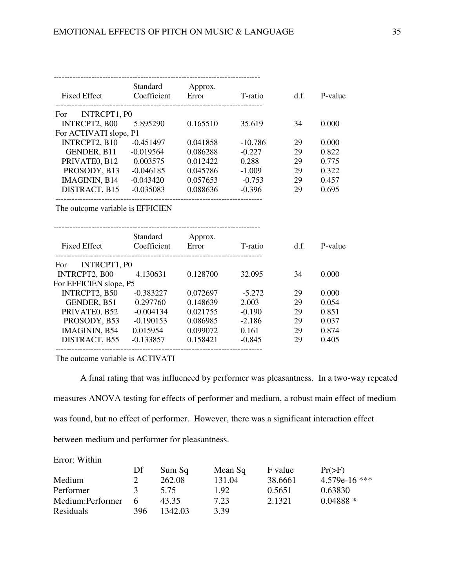| <b>Fixed Effect</b>    | Standard<br>Coefficient | Approx.<br>Error | T-ratio   | d.f. | P-value |
|------------------------|-------------------------|------------------|-----------|------|---------|
| INTRCPT1, P0<br>For    |                         |                  |           |      |         |
| INTRCPT2, B00          | 5.895290                | 0.165510         | 35.619    | 34   | 0.000   |
| For ACTIVATI slope, P1 |                         |                  |           |      |         |
| INTRCPT2, B10          | $-0.451497$             | 0.041858         | $-10.786$ | 29   | 0.000   |
| GENDER, B11            | $-0.019564$             | 0.086288         | $-0.227$  | 29   | 0.822   |
| PRIVATEO, B12          | 0.003575                | 0.012422         | 0.288     | 29   | 0.775   |
| PROSODY, B13           | $-0.046185$             | 0.045786         | $-1.009$  | 29   | 0.322   |
| IMAGININ, B14          | $-0.043420$             | 0.057653         | $-0.753$  | 29   | 0.457   |
| DISTRACT, B15          | $-0.035083$             | 0.088636         | $-0.396$  | 29   | 0.695   |
|                        |                         |                  |           |      |         |

The outcome variable is EFFICIEN

| <b>Fixed Effect</b>    | <b>Standard</b><br>Coefficient | Approx.<br>Error | T-ratio  | d.f. | P-value |
|------------------------|--------------------------------|------------------|----------|------|---------|
| INTRCPT1, PO<br>For    |                                |                  |          |      |         |
| INTRCPT2, B00          | 4.130631                       | 0.128700         | 32.095   | 34   | 0.000   |
| For EFFICIEN slope, P5 |                                |                  |          |      |         |
| INTRCPT2, B50          | $-0.383227$                    | 0.072697         | $-5.272$ | 29   | 0.000   |
| GENDER, B51            | 0.297760                       | 0.148639         | 2.003    | 29   | 0.054   |
| PRIVATEO, B52          | $-0.004134$                    | 0.021755         | $-0.190$ | 29   | 0.851   |
| PROSODY, B53           | $-0.190153$                    | 0.086985         | $-2.186$ | 29   | 0.037   |
| IMAGININ, B54          | 0.015954                       | 0.099072         | 0.161    | 29   | 0.874   |
| DISTRACT, B55          | $-0.133857$                    | 0.158421         | $-0.845$ | 29   | 0.405   |

The outcome variable is ACTIVATI

Error: Within

 A final rating that was influenced by performer was pleasantness. In a two-way repeated measures ANOVA testing for effects of performer and medium, a robust main effect of medium was found, but no effect of performer. However, there was a significant interaction effect between medium and performer for pleasantness.

| ентог, мани      |               |         |         |         |               |
|------------------|---------------|---------|---------|---------|---------------|
|                  | Df            | Sum Sq  | Mean Sq | F value | $Pr(>=F)$     |
| Medium           |               | 262.08  | 131.04  | 38.6661 | 4.579e-16 *** |
| Performer        | $\mathcal{L}$ | 5.75    | 1.92    | 0.5651  | 0.63830       |
| Medium:Performer | $\mathbf{a}$  | 43.35   | 7.23    | 2.1321  | $0.04888*$    |
| <b>Residuals</b> | 396           | 1342.03 | 3.39    |         |               |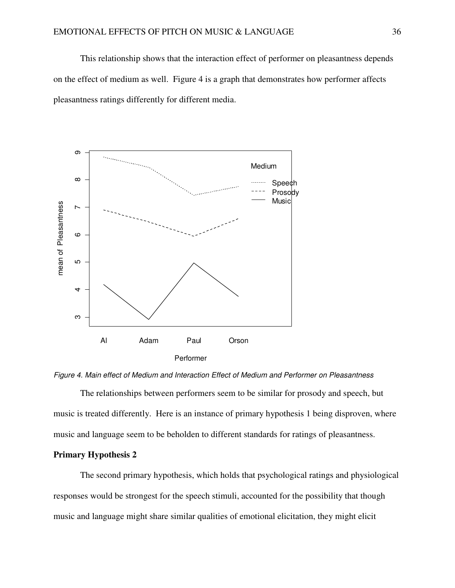This relationship shows that the interaction effect of performer on pleasantness depends on the effect of medium as well. Figure 4 is a graph that demonstrates how performer affects pleasantness ratings differently for different media.





 The relationships between performers seem to be similar for prosody and speech, but music is treated differently. Here is an instance of primary hypothesis 1 being disproven, where music and language seem to be beholden to different standards for ratings of pleasantness.

# **Primary Hypothesis 2**

 The second primary hypothesis, which holds that psychological ratings and physiological responses would be strongest for the speech stimuli, accounted for the possibility that though music and language might share similar qualities of emotional elicitation, they might elicit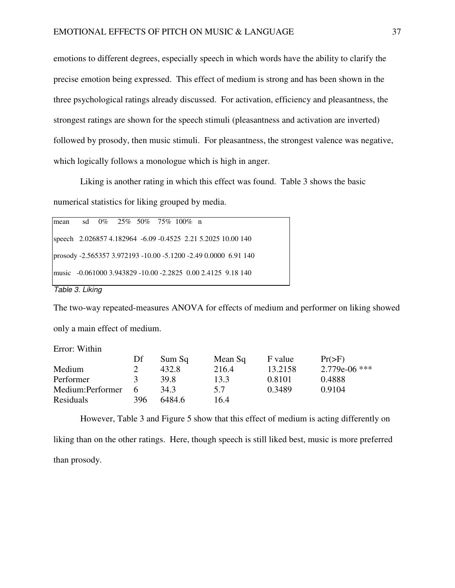emotions to different degrees, especially speech in which words have the ability to clarify the precise emotion being expressed. This effect of medium is strong and has been shown in the three psychological ratings already discussed. For activation, efficiency and pleasantness, the strongest ratings are shown for the speech stimuli (pleasantness and activation are inverted) followed by prosody, then music stimuli. For pleasantness, the strongest valence was negative, which logically follows a monologue which is high in anger.

Liking is another rating in which this effect was found. Table 3 shows the basic numerical statistics for liking grouped by media.

| mean sd 0% 25% 50% 75% 100% n |  |  |  |                                                                 |
|-------------------------------|--|--|--|-----------------------------------------------------------------|
|                               |  |  |  | speech 2.026857 4.182964 -6.09 -0.4525 2.21 5.2025 10.00 140    |
|                               |  |  |  | prosody -2.565357 3.972193 -10.00 -5.1200 -2.49 0.0000 6.91 140 |
|                               |  |  |  | music -0.061000 3.943829 -10.00 -2.2825 0.00 2.4125 9.18 140    |

Table 3. Liking

The two-way repeated-measures ANOVA for effects of medium and performer on liking showed only a main effect of medium.

Error: Within

|                  | Df            | Sum Sq | Mean Sq | F value | $Pr(>=F)$       |
|------------------|---------------|--------|---------|---------|-----------------|
| Medium           |               | 432.8  | 216.4   | 13.2158 | $2.779e-06$ *** |
| Performer        | $\mathcal{L}$ | 39.8   | 13.3    | 0.8101  | 0.4888          |
| Medium:Performer | h             | 34.3   | 5.7     | 0.3489  | 0.9104          |
| Residuals        | 396.          | 6484.6 | 16.4    |         |                 |

However, Table 3 and Figure 5 show that this effect of medium is acting differently on liking than on the other ratings. Here, though speech is still liked best, music is more preferred than prosody.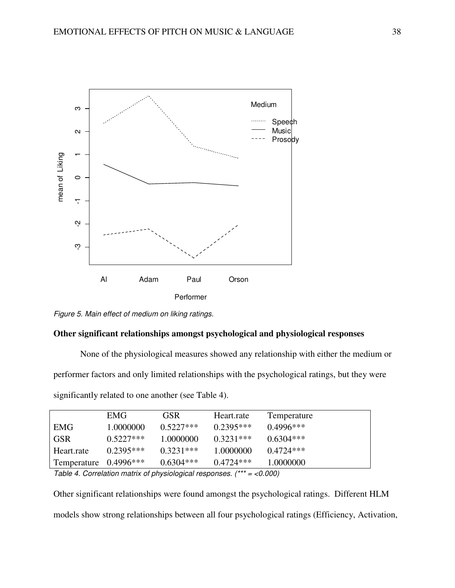

Figure 5. Main effect of medium on liking ratings.

# **Other significant relationships amongst psychological and physiological responses**

None of the physiological measures showed any relationship with either the medium or

performer factors and only limited relationships with the psychological ratings, but they were

significantly related to one another (see Table 4).

|                       | EMG <sup>-</sup> | <b>GSR</b>  | Heart.rate  | Temperature |
|-----------------------|------------------|-------------|-------------|-------------|
| EMG                   | 1.0000000        | $0.5227***$ | $0.2395***$ | $0.4996***$ |
| <b>GSR</b>            | $0.5227***$      | 1.0000000   | $0.3231***$ | $0.6304***$ |
| Heart.rate            | $0.2395***$      | $0.3231***$ | 1.0000000   | $0.4724***$ |
| Temperature 0.4996*** |                  | $0.6304***$ | $0.4724***$ | 1.0000000   |
| — <i>''</i> 'A        |                  |             |             | .           |

Table 4. Correlation matrix of physiological responses.  $(*** = 0.000)$ 

Other significant relationships were found amongst the psychological ratings. Different HLM models show strong relationships between all four psychological ratings (Efficiency, Activation,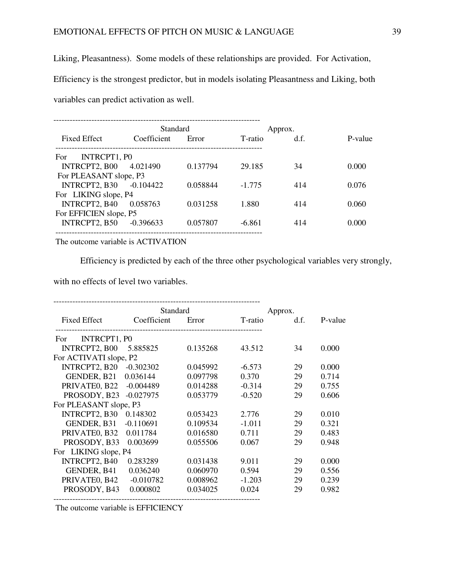Liking, Pleasantness). Some models of these relationships are provided. For Activation,

Efficiency is the strongest predictor, but in models isolating Pleasantness and Liking, both

variables can predict activation as well.

|                         | Standard    | Approx.  |          |      |         |
|-------------------------|-------------|----------|----------|------|---------|
| <b>Fixed Effect</b>     | Coefficient | Error    | T-ratio  | d.f. | P-value |
| INTRCPT1, P0<br>For     |             |          |          |      |         |
| INTRCPT2, B00           | 4.021490    | 0.137794 | 29.185   | 34   | 0.000   |
| For PLEASANT slope, P3  |             |          |          |      |         |
| INTRCPT2, B30 -0.104422 |             | 0.058844 | $-1.775$ | 414  | 0.076   |
| For LIKING slope, P4    |             |          |          |      |         |
| INTRCPT2, B40           | 0.058763    | 0.031258 | 1.880    | 414  | 0.060   |
| For EFFICIEN slope, P5  |             |          |          |      |         |
| INTRCPT2, B50           | -0.396633   | 0.057807 | $-6.861$ | 414  | 0.000   |
|                         |             |          |          |      |         |

The outcome variable is ACTIVATION

Efficiency is predicted by each of the three other psychological variables very strongly,

with no effects of level two variables.

|                        | Standard    |          |          | Approx. |         |
|------------------------|-------------|----------|----------|---------|---------|
| <b>Fixed Effect</b>    | Coefficient | Error    | T-ratio  | d.f.    | P-value |
| INTRCPT1, P0<br>For.   |             |          |          |         |         |
| <b>INTRCPT2, B00</b>   | 5.885825    | 0.135268 | 43.512   | 34      | 0.000   |
| For ACTIVATI slope, P2 |             |          |          |         |         |
| INTRCPT2, B20          | $-0.302302$ | 0.045992 | $-6.573$ | 29      | 0.000   |
| GENDER, B21            | 0.036144    | 0.097798 | 0.370    | 29      | 0.714   |
| PRIVATEO, B22          | $-0.004489$ | 0.014288 | $-0.314$ | 29      | 0.755   |
| PROSODY, B23           | $-0.027975$ | 0.053779 | $-0.520$ | 29      | 0.606   |
| For PLEASANT slope, P3 |             |          |          |         |         |
| INTRCPT2, B30          | 0.148302    | 0.053423 | 2.776    | 29      | 0.010   |
| GENDER, B31            | $-0.110691$ | 0.109534 | $-1.011$ | 29      | 0.321   |
| PRIVATEO, B32          | 0.011784    | 0.016580 | 0.711    | 29      | 0.483   |
| PROSODY, B33           | 0.003699    | 0.055506 | 0.067    | 29      | 0.948   |
| For LIKING slope, P4   |             |          |          |         |         |
| INTRCPT2, B40          | 0.283289    | 0.031438 | 9.011    | 29      | 0.000   |
| GENDER, B41            | 0.036240    | 0.060970 | 0.594    | 29      | 0.556   |
| PRIVATEO, B42          | $-0.010782$ | 0.008962 | $-1.203$ | 29      | 0.239   |
| PROSODY, B43           | 0.000802    | 0.034025 | 0.024    | 29      | 0.982   |
|                        |             |          |          |         |         |

The outcome variable is EFFICIENCY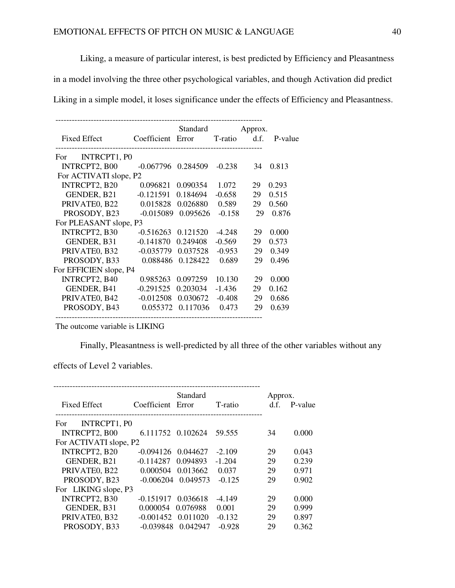Liking, a measure of particular interest, is best predicted by Efficiency and Pleasantness

in a model involving the three other psychological variables, and though Activation did predict

Liking in a simple model, it loses significance under the effects of Efficiency and Pleasantness.

| <b>Fixed Effect</b>    | Coefficient | Standard<br>Error | T-ratio  | Approx.<br>d.f. | P-value |
|------------------------|-------------|-------------------|----------|-----------------|---------|
|                        |             |                   |          |                 |         |
| INTRCPT1, PO<br>For    |             |                   |          |                 |         |
| INTRCPT2, B00          | $-0.067796$ | 0.284509          | $-0.238$ | 34              | 0.813   |
| For ACTIVATI slope, P2 |             |                   |          |                 |         |
| INTRCPT2, B20          | 0.096821    | 0.090354          | 1.072    | 29              | 0.293   |
| GENDER, B21            | $-0.121591$ | 0.184694          | $-0.658$ | 29              | 0.515   |
| PRIVATEO, B22          | 0.015828    | 0.026880          | 0.589    | 29              | 0.560   |
| PROSODY, B23           | $-0.015089$ | 0.095626          | $-0.158$ | 29              | 0.876   |
| For PLEASANT slope, P3 |             |                   |          |                 |         |
| INTRCPT2, B30          | $-0.516263$ | 0.121520          | $-4.248$ | 29              | 0.000   |
| GENDER, B31            | $-0.141870$ | 0.249408          | $-0.569$ | 29              | 0.573   |
| PRIVATEO, B32          | $-0.035779$ | 0.037528          | $-0.953$ | 29              | 0.349   |
| PROSODY, B33           | 0.088486    | 0.128422          | 0.689    | 29              | 0.496   |
| For EFFICIEN slope, P4 |             |                   |          |                 |         |
| INTRCPT2, B40          | 0.985263    | 0.097259          | 10.130   | 29              | 0.000   |
| GENDER, B41            | $-0.291525$ | 0.203034          | $-1.436$ | 29              | 0.162   |
| PRIVATE0, B42          | $-0.012508$ | 0.030672          | $-0.408$ | 29              | 0.686   |
| PROSODY, B43           | 0.055372    | 0.117036          | 0.473    | 29              | 0.639   |

The outcome variable is LIKING

Finally, Pleasantness is well-predicted by all three of the other variables without any

effects of Level 2 variables.

| Standard<br><b>Fixed Effect</b><br>Coefficient Error<br>T-ratio | Approx.<br>d.f. | P-value |
|-----------------------------------------------------------------|-----------------|---------|
| INTRCPT1, PO<br>For                                             |                 |         |
| <b>INTRCPT2, B00</b><br>6.111752 0.102624<br>59.555             | 34              | 0.000   |
| For ACTIVATI slope, P2                                          |                 |         |
| INTRCPT2, B20<br>$-2.109$<br>$-0.094126$<br>0.044627            | 29              | 0.043   |
| GENDER, B21<br>$-0.114287$<br>0.094893<br>$-1.204$              | 29              | 0.239   |
| PRIVATEO, B22<br>0.037<br>0.000504<br>0.013662                  | 29              | 0.971   |
| 0.049573<br>PROSODY, B23<br>$-0.006204$<br>$-0.125$             | 29              | 0.902   |
| For LIKING slope, P3                                            |                 |         |
| INTRCPT2, B30<br>$-0.151917$<br>0.036618<br>$-4.149$            | 29              | 0.000   |
| GENDER, B31<br>0.001<br>0.000054<br>0.076988                    | 29              | 0.999   |
| PRIVATEO, B32<br>0.011020<br>$-0.001452$<br>$-0.132$            | 29              | 0.897   |
| PROSODY, B33<br>$-0.928$<br>$-0.039848$<br>0.042947             | 29              | 0.362   |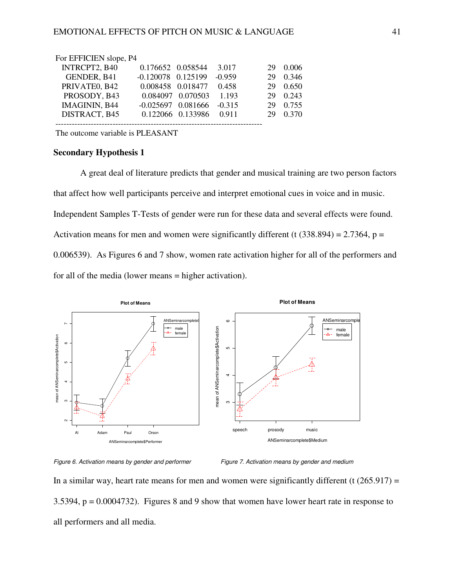| For EFFICIEN slope, P4 |                        |                   |          |    |       |
|------------------------|------------------------|-------------------|----------|----|-------|
| INTRCPT2, B40          | 0.176652 0.058544      |                   | 3.017    | 29 | 0.006 |
| GENDER, B41            | $-0.120078$ $0.125199$ |                   | $-0.959$ | 29 | 0.346 |
| PRIVATEO, B42          | 0.008458 0.018477      |                   | 0.458    | 29 | 0.650 |
| PROSODY, B43           |                        | 0.084097 0.070503 | 1.193    | 29 | 0.243 |
| IMAGININ, B44          | $-0.025697$ $0.081666$ |                   | $-0.315$ | 29 | 0.755 |
| DISTRACT, B45          |                        | 0.122066 0.133986 | 0.911    | 29 | 0.370 |
|                        |                        |                   |          |    |       |

The outcome variable is PLEASANT

### **Secondary Hypothesis 1**

A great deal of literature predicts that gender and musical training are two person factors that affect how well participants perceive and interpret emotional cues in voice and in music. Independent Samples T-Tests of gender were run for these data and several effects were found. Activation means for men and women were significantly different (t  $(338.894) = 2.7364$ , p = 0.006539). As Figures 6 and 7 show, women rate activation higher for all of the performers and for all of the media (lower means = higher activation).





In a similar way, heart rate means for men and women were significantly different (t  $(265.917)$  = 3.5394, p = 0.0004732). Figures 8 and 9 show that women have lower heart rate in response to all performers and all media.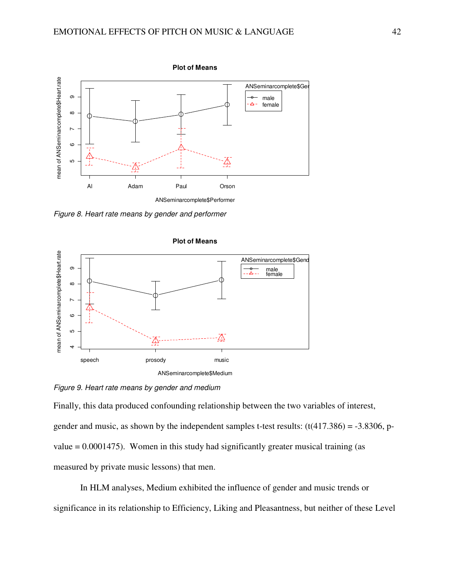

Figure 8. Heart rate means by gender and performer



### Figure 9. Heart rate means by gender and medium

Finally, this data produced confounding relationship between the two variables of interest, gender and music, as shown by the independent samples t-test results:  $(t(417.386) = -3.8306, p$ value  $= 0.0001475$ ). Women in this study had significantly greater musical training (as measured by private music lessons) that men.

 In HLM analyses, Medium exhibited the influence of gender and music trends or significance in its relationship to Efficiency, Liking and Pleasantness, but neither of these Level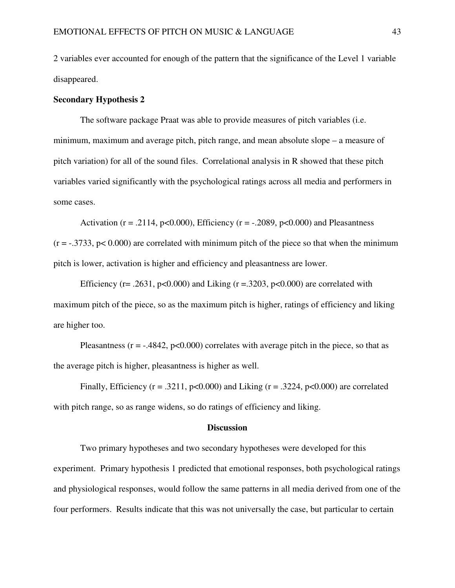2 variables ever accounted for enough of the pattern that the significance of the Level 1 variable disappeared.

# **Secondary Hypothesis 2**

The software package Praat was able to provide measures of pitch variables (i.e. minimum, maximum and average pitch, pitch range, and mean absolute slope – a measure of pitch variation) for all of the sound files. Correlational analysis in R showed that these pitch variables varied significantly with the psychological ratings across all media and performers in some cases.

Activation ( $r = .2114$ ,  $p < 0.000$ ), Efficiency ( $r = -.2089$ ,  $p < 0.000$ ) and Pleasantness  $(r = -0.3733, p < 0.000)$  are correlated with minimum pitch of the piece so that when the minimum pitch is lower, activation is higher and efficiency and pleasantness are lower.

Efficiency (r= .2631, p<0.000) and Liking (r = .3203, p<0.000) are correlated with maximum pitch of the piece, so as the maximum pitch is higher, ratings of efficiency and liking are higher too.

Pleasantness ( $r = -0.4842$ ,  $p < 0.000$ ) correlates with average pitch in the piece, so that as the average pitch is higher, pleasantness is higher as well.

Finally, Efficiency ( $r = .3211$ ,  $p < 0.000$ ) and Liking ( $r = .3224$ ,  $p < 0.000$ ) are correlated with pitch range, so as range widens, so do ratings of efficiency and liking.

#### **Discussion**

Two primary hypotheses and two secondary hypotheses were developed for this experiment. Primary hypothesis 1 predicted that emotional responses, both psychological ratings and physiological responses, would follow the same patterns in all media derived from one of the four performers. Results indicate that this was not universally the case, but particular to certain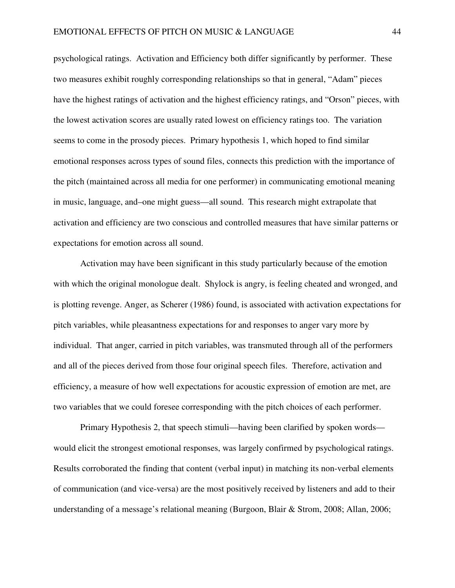psychological ratings. Activation and Efficiency both differ significantly by performer. These two measures exhibit roughly corresponding relationships so that in general, "Adam" pieces have the highest ratings of activation and the highest efficiency ratings, and "Orson" pieces, with the lowest activation scores are usually rated lowest on efficiency ratings too. The variation seems to come in the prosody pieces. Primary hypothesis 1, which hoped to find similar emotional responses across types of sound files, connects this prediction with the importance of the pitch (maintained across all media for one performer) in communicating emotional meaning in music, language, and–one might guess—all sound. This research might extrapolate that activation and efficiency are two conscious and controlled measures that have similar patterns or expectations for emotion across all sound.

Activation may have been significant in this study particularly because of the emotion with which the original monologue dealt. Shylock is angry, is feeling cheated and wronged, and is plotting revenge. Anger, as Scherer (1986) found, is associated with activation expectations for pitch variables, while pleasantness expectations for and responses to anger vary more by individual. That anger, carried in pitch variables, was transmuted through all of the performers and all of the pieces derived from those four original speech files. Therefore, activation and efficiency, a measure of how well expectations for acoustic expression of emotion are met, are two variables that we could foresee corresponding with the pitch choices of each performer.

Primary Hypothesis 2, that speech stimuli—having been clarified by spoken words would elicit the strongest emotional responses, was largely confirmed by psychological ratings. Results corroborated the finding that content (verbal input) in matching its non-verbal elements of communication (and vice-versa) are the most positively received by listeners and add to their understanding of a message's relational meaning (Burgoon, Blair & Strom, 2008; Allan, 2006;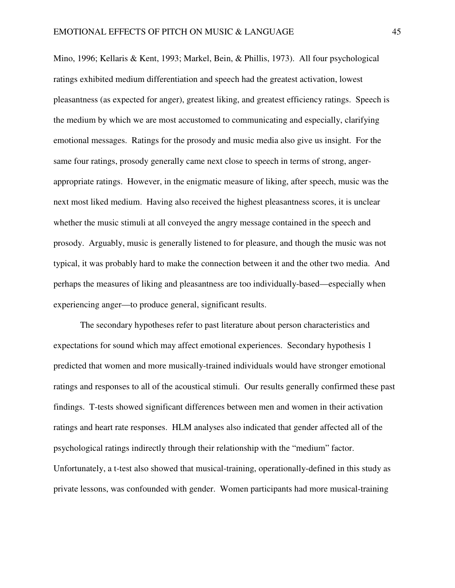Mino, 1996; Kellaris & Kent, 1993; Markel, Bein, & Phillis, 1973). All four psychological ratings exhibited medium differentiation and speech had the greatest activation, lowest pleasantness (as expected for anger), greatest liking, and greatest efficiency ratings. Speech is the medium by which we are most accustomed to communicating and especially, clarifying emotional messages. Ratings for the prosody and music media also give us insight. For the same four ratings, prosody generally came next close to speech in terms of strong, angerappropriate ratings. However, in the enigmatic measure of liking, after speech, music was the next most liked medium. Having also received the highest pleasantness scores, it is unclear whether the music stimuli at all conveyed the angry message contained in the speech and prosody. Arguably, music is generally listened to for pleasure, and though the music was not typical, it was probably hard to make the connection between it and the other two media. And perhaps the measures of liking and pleasantness are too individually-based—especially when experiencing anger—to produce general, significant results.

The secondary hypotheses refer to past literature about person characteristics and expectations for sound which may affect emotional experiences. Secondary hypothesis 1 predicted that women and more musically-trained individuals would have stronger emotional ratings and responses to all of the acoustical stimuli. Our results generally confirmed these past findings. T-tests showed significant differences between men and women in their activation ratings and heart rate responses. HLM analyses also indicated that gender affected all of the psychological ratings indirectly through their relationship with the "medium" factor. Unfortunately, a t-test also showed that musical-training, operationally-defined in this study as private lessons, was confounded with gender. Women participants had more musical-training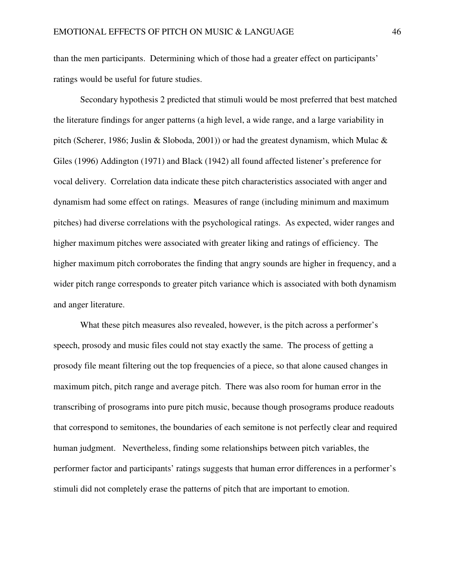than the men participants. Determining which of those had a greater effect on participants' ratings would be useful for future studies.

Secondary hypothesis 2 predicted that stimuli would be most preferred that best matched the literature findings for anger patterns (a high level, a wide range, and a large variability in pitch (Scherer, 1986; Juslin & Sloboda, 2001)) or had the greatest dynamism, which Mulac  $\&$ Giles (1996) Addington (1971) and Black (1942) all found affected listener's preference for vocal delivery. Correlation data indicate these pitch characteristics associated with anger and dynamism had some effect on ratings. Measures of range (including minimum and maximum pitches) had diverse correlations with the psychological ratings. As expected, wider ranges and higher maximum pitches were associated with greater liking and ratings of efficiency. The higher maximum pitch corroborates the finding that angry sounds are higher in frequency, and a wider pitch range corresponds to greater pitch variance which is associated with both dynamism and anger literature.

What these pitch measures also revealed, however, is the pitch across a performer's speech, prosody and music files could not stay exactly the same. The process of getting a prosody file meant filtering out the top frequencies of a piece, so that alone caused changes in maximum pitch, pitch range and average pitch. There was also room for human error in the transcribing of prosograms into pure pitch music, because though prosograms produce readouts that correspond to semitones, the boundaries of each semitone is not perfectly clear and required human judgment. Nevertheless, finding some relationships between pitch variables, the performer factor and participants' ratings suggests that human error differences in a performer's stimuli did not completely erase the patterns of pitch that are important to emotion.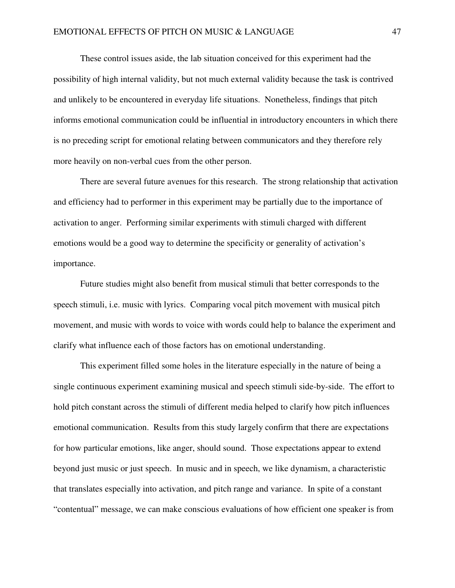These control issues aside, the lab situation conceived for this experiment had the possibility of high internal validity, but not much external validity because the task is contrived and unlikely to be encountered in everyday life situations. Nonetheless, findings that pitch informs emotional communication could be influential in introductory encounters in which there is no preceding script for emotional relating between communicators and they therefore rely more heavily on non-verbal cues from the other person.

There are several future avenues for this research. The strong relationship that activation and efficiency had to performer in this experiment may be partially due to the importance of activation to anger. Performing similar experiments with stimuli charged with different emotions would be a good way to determine the specificity or generality of activation's importance.

 Future studies might also benefit from musical stimuli that better corresponds to the speech stimuli, i.e. music with lyrics. Comparing vocal pitch movement with musical pitch movement, and music with words to voice with words could help to balance the experiment and clarify what influence each of those factors has on emotional understanding.

 This experiment filled some holes in the literature especially in the nature of being a single continuous experiment examining musical and speech stimuli side-by-side. The effort to hold pitch constant across the stimuli of different media helped to clarify how pitch influences emotional communication. Results from this study largely confirm that there are expectations for how particular emotions, like anger, should sound. Those expectations appear to extend beyond just music or just speech. In music and in speech, we like dynamism, a characteristic that translates especially into activation, and pitch range and variance. In spite of a constant "contentual" message, we can make conscious evaluations of how efficient one speaker is from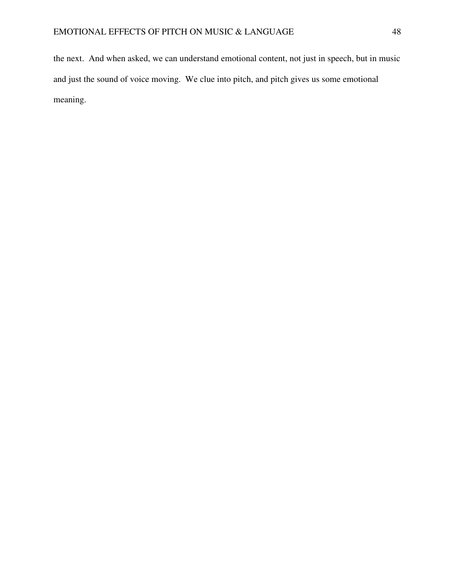the next. And when asked, we can understand emotional content, not just in speech, but in music and just the sound of voice moving. We clue into pitch, and pitch gives us some emotional meaning.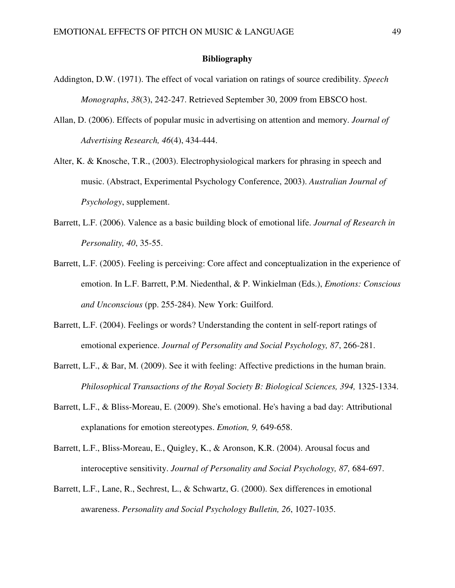# **Bibliography**

- Addington, D.W. (1971). The effect of vocal variation on ratings of source credibility. *Speech Monographs*, *38*(3), 242-247. Retrieved September 30, 2009 from EBSCO host.
- Allan, D. (2006). Effects of popular music in advertising on attention and memory. *Journal of Advertising Research, 46*(4), 434-444.
- Alter, K. & Knosche, T.R., (2003). Electrophysiological markers for phrasing in speech and music. (Abstract, Experimental Psychology Conference, 2003). *Australian Journal of Psychology*, supplement.
- Barrett, L.F. (2006). Valence as a basic building block of emotional life. *Journal of Research in Personality, 40*, 35-55.
- Barrett, L.F. (2005). Feeling is perceiving: Core affect and conceptualization in the experience of emotion. In L.F. Barrett, P.M. Niedenthal, & P. Winkielman (Eds.), *Emotions: Conscious and Unconscious* (pp. 255-284). New York: Guilford.
- Barrett, L.F. (2004). Feelings or words? Understanding the content in self-report ratings of emotional experience. *Journal of Personality and Social Psychology, 87*, 266-281.
- Barrett, L.F., & Bar, M. (2009). See it with feeling: Affective predictions in the human brain. *Philosophical Transactions of the Royal Society B: Biological Sciences, 394, 1325-1334.*
- Barrett, L.F., & Bliss-Moreau, E. (2009). She's emotional. He's having a bad day: Attributional explanations for emotion stereotypes. *Emotion, 9,* 649-658.
- Barrett, L.F., Bliss-Moreau, E., Quigley, K., & Aronson, K.R. (2004). Arousal focus and interoceptive sensitivity. *Journal of Personality and Social Psychology, 87,* 684-697.
- Barrett, L.F., Lane, R., Sechrest, L., & Schwartz, G. (2000). Sex differences in emotional awareness. *Personality and Social Psychology Bulletin, 26*, 1027-1035.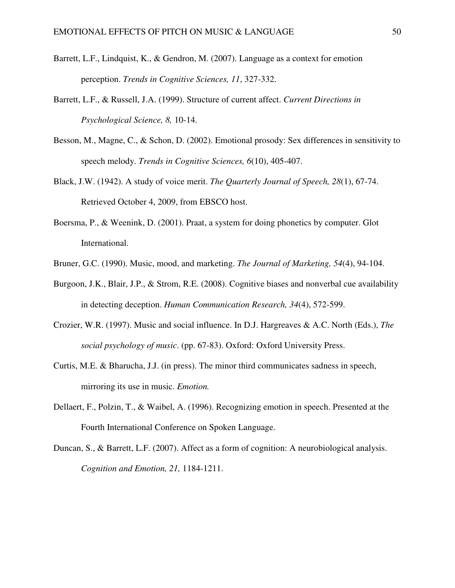- Barrett, L.F., Lindquist, K., & Gendron, M. (2007). Language as a context for emotion perception. *Trends in Cognitive Sciences, 11*, 327-332.
- Barrett, L.F., & Russell, J.A. (1999). Structure of current affect. *Current Directions in Psychological Science, 8,* 10-14.
- Besson, M., Magne, C., & Schon, D. (2002). Emotional prosody: Sex differences in sensitivity to speech melody. *Trends in Cognitive Sciences, 6*(10), 405-407.
- Black, J.W. (1942). A study of voice merit. *The Quarterly Journal of Speech, 28*(1), 67-74. Retrieved October 4, 2009, from EBSCO host.
- Boersma, P., & Weenink, D. (2001). Praat, a system for doing phonetics by computer. Glot International.
- Bruner, G.C. (1990). Music, mood, and marketing. *The Journal of Marketing, 54*(4), 94-104.
- Burgoon, J.K., Blair, J.P., & Strom, R.E. (2008). Cognitive biases and nonverbal cue availability in detecting deception. *Human Communication Research, 34*(4), 572-599.
- Crozier, W.R. (1997). Music and social influence. In D.J. Hargreaves & A.C. North (Eds.), *The social psychology of music*. (pp. 67-83). Oxford: Oxford University Press.
- Curtis, M.E. & Bharucha, J.J. (in press). The minor third communicates sadness in speech, mirroring its use in music. *Emotion.*
- Dellaert, F., Polzin, T., & Waibel, A. (1996). Recognizing emotion in speech. Presented at the Fourth International Conference on Spoken Language.
- Duncan, S., & Barrett, L.F. (2007). Affect as a form of cognition: A neurobiological analysis. *Cognition and Emotion, 21,* 1184-1211.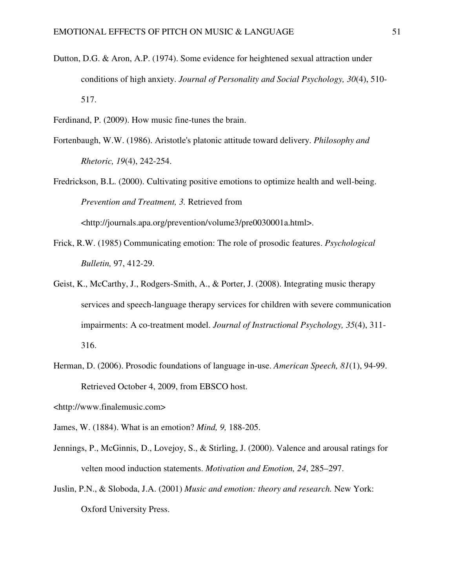- Dutton, D.G. & Aron, A.P. (1974). Some evidence for heightened sexual attraction under conditions of high anxiety. *Journal of Personality and Social Psychology, 30*(4), 510- 517.
- Ferdinand, P. (2009). How music fine-tunes the brain.
- Fortenbaugh, W.W. (1986). Aristotle's platonic attitude toward delivery. *Philosophy and Rhetoric, 19*(4), 242-254.
- Fredrickson, B.L. (2000). Cultivating positive emotions to optimize health and well-being. *Prevention and Treatment, 3.* Retrieved from

<http://journals.apa.org/prevention/volume3/pre0030001a.html>.

- Frick, R.W. (1985) Communicating emotion: The role of prosodic features. *Psychological Bulletin,* 97, 412-29.
- Geist, K., McCarthy, J., Rodgers-Smith, A., & Porter, J. (2008). Integrating music therapy services and speech-language therapy services for children with severe communication impairments: A co-treatment model. *Journal of Instructional Psychology, 35*(4), 311- 316.
- Herman, D. (2006). Prosodic foundations of language in-use. *American Speech, 81*(1), 94-99. Retrieved October 4, 2009, from EBSCO host.
- <http://www.finalemusic.com>
- James, W. (1884). What is an emotion? *Mind, 9,* 188-205.
- Jennings, P., McGinnis, D., Lovejoy, S., & Stirling, J. (2000). Valence and arousal ratings for velten mood induction statements. *Motivation and Emotion, 24*, 285–297.
- Juslin, P.N., & Sloboda, J.A. (2001) *Music and emotion: theory and research.* New York: Oxford University Press.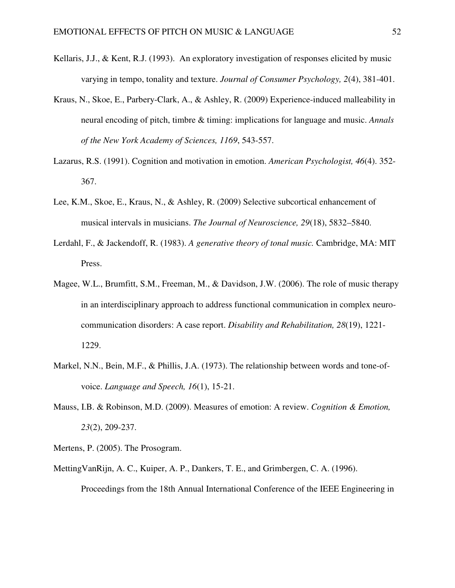- Kellaris, J.J., & Kent, R.J. (1993). An exploratory investigation of responses elicited by music varying in tempo, tonality and texture. *Journal of Consumer Psychology, 2*(4), 381-401.
- Kraus, N., Skoe, E., Parbery-Clark, A., & Ashley, R. (2009) Experience-induced malleability in neural encoding of pitch, timbre & timing: implications for language and music. *Annals of the New York Academy of Sciences, 1169*, 543-557.
- Lazarus, R.S. (1991). Cognition and motivation in emotion. *American Psychologist, 46*(4). 352- 367.
- Lee, K.M., Skoe, E., Kraus, N., & Ashley, R. (2009) Selective subcortical enhancement of musical intervals in musicians. *The Journal of Neuroscience, 29*(18), 5832–5840.
- Lerdahl, F., & Jackendoff, R. (1983). *A generative theory of tonal music.* Cambridge, MA: MIT Press.
- Magee, W.L., Brumfitt, S.M., Freeman, M., & Davidson, J.W. (2006). The role of music therapy in an interdisciplinary approach to address functional communication in complex neurocommunication disorders: A case report. *Disability and Rehabilitation, 28*(19), 1221- 1229.
- Markel, N.N., Bein, M.F., & Phillis, J.A. (1973). The relationship between words and tone-ofvoice. *Language and Speech, 16*(1), 15-21.
- Mauss, I.B. & Robinson, M.D. (2009). Measures of emotion: A review. *Cognition & Emotion, 23*(2), 209-237.
- Mertens, P. (2005). The Prosogram.
- MettingVanRijn, A. C., Kuiper, A. P., Dankers, T. E., and Grimbergen, C. A. (1996). Proceedings from the 18th Annual International Conference of the IEEE Engineering in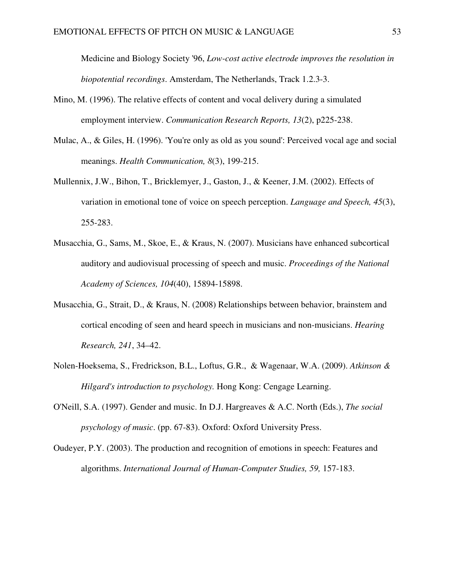Medicine and Biology Society '96, *Low-cost active electrode improves the resolution in biopotential recordings*. Amsterdam, The Netherlands, Track 1.2.3-3.

- Mino, M. (1996). The relative effects of content and vocal delivery during a simulated employment interview. *Communication Research Reports, 13*(2), p225-238.
- Mulac, A., & Giles, H. (1996). 'You're only as old as you sound': Perceived vocal age and social meanings. *Health Communication, 8*(3), 199-215.
- Mullennix, J.W., Bihon, T., Bricklemyer, J., Gaston, J., & Keener, J.M. (2002). Effects of variation in emotional tone of voice on speech perception. *Language and Speech, 45*(3), 255-283.
- Musacchia, G., Sams, M., Skoe, E., & Kraus, N. (2007). Musicians have enhanced subcortical auditory and audiovisual processing of speech and music. *Proceedings of the National Academy of Sciences, 104*(40), 15894-15898.
- Musacchia, G., Strait, D., & Kraus, N. (2008) Relationships between behavior, brainstem and cortical encoding of seen and heard speech in musicians and non-musicians. *Hearing Research, 241*, 34–42.
- Nolen-Hoeksema, S., Fredrickson, B.L., Loftus, G.R., & Wagenaar, W.A. (2009). *Atkinson & Hilgard's introduction to psychology.* Hong Kong: Cengage Learning.
- O'Neill, S.A. (1997). Gender and music. In D.J. Hargreaves & A.C. North (Eds.), *The social psychology of music*. (pp. 67-83). Oxford: Oxford University Press.
- Oudeyer, P.Y. (2003). The production and recognition of emotions in speech: Features and algorithms. *International Journal of Human-Computer Studies, 59,* 157-183.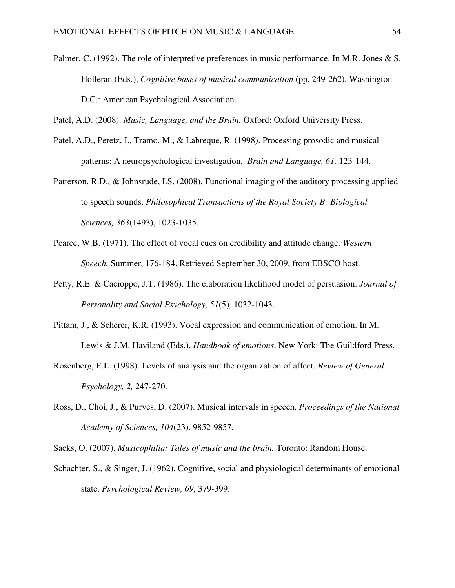Palmer, C. (1992). The role of interpretive preferences in music performance. In M.R. Jones & S. Holleran (Eds.), *Cognitive bases of musical communication* (pp. 249-262). Washington D.C.: American Psychological Association.

Patel, A.D. (2008). *Music, Language, and the Brain.* Oxford: Oxford University Press.

- Patel, A.D., Peretz, I., Tramo, M., & Labreque, R. (1998). Processing prosodic and musical patterns: A neuropsychological investigation. *Brain and Language, 61,* 123-144.
- Patterson, R.D., & Johnsrude, I.S. (2008). Functional imaging of the auditory processing applied to speech sounds. *Philosophical Transactions of the Royal Society B: Biological Sciences, 363*(1493), 1023-1035.
- Pearce, W.B. (1971). The effect of vocal cues on credibility and attitude change. *Western Speech,* Summer, 176-184. Retrieved September 30, 2009, from EBSCO host.
- Petty, R.E. & Cacioppo, J.T. (1986). The elaboration likelihood model of persuasion. *Journal of Personality and Social Psychology, 51*(5)*,* 1032-1043.
- Pittam, J., & Scherer, K.R. (1993). Vocal expression and communication of emotion. In M. Lewis & J.M. Haviland (Eds.), *Handbook of emotions*, New York: The Guildford Press.
- Rosenberg, E.L. (1998). Levels of analysis and the organization of affect. *Review of General Psychology, 2,* 247-270.
- Ross, D., Choi, J., & Purves, D. (2007). Musical intervals in speech. *Proceedings of the National Academy of Sciences, 104*(23). 9852-9857.

Sacks, O. (2007). *Musicophilia: Tales of music and the brain.* Toronto: Random House.

Schachter, S., & Singer, J. (1962). Cognitive, social and physiological determinants of emotional state. *Psychological Review, 69*, 379-399.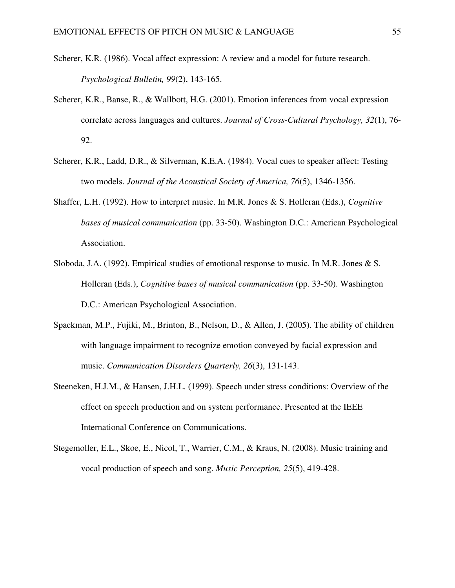- Scherer, K.R. (1986). Vocal affect expression: A review and a model for future research. *Psychological Bulletin, 99*(2), 143-165.
- Scherer, K.R., Banse, R., & Wallbott, H.G. (2001). Emotion inferences from vocal expression correlate across languages and cultures. *Journal of Cross-Cultural Psychology, 32*(1), 76- 92.
- Scherer, K.R., Ladd, D.R., & Silverman, K.E.A. (1984). Vocal cues to speaker affect: Testing two models. *Journal of the Acoustical Society of America, 76*(5), 1346-1356.
- Shaffer, L.H. (1992). How to interpret music. In M.R. Jones & S. Holleran (Eds.), *Cognitive bases of musical communication* (pp. 33-50). Washington D.C.: American Psychological Association.
- Sloboda, J.A. (1992). Empirical studies of emotional response to music. In M.R. Jones & S. Holleran (Eds.), *Cognitive bases of musical communication* (pp. 33-50). Washington D.C.: American Psychological Association.
- Spackman, M.P., Fujiki, M., Brinton, B., Nelson, D., & Allen, J. (2005). The ability of children with language impairment to recognize emotion conveyed by facial expression and music. *Communication Disorders Quarterly, 26*(3), 131-143.
- Steeneken, H.J.M., & Hansen, J.H.L. (1999). Speech under stress conditions: Overview of the effect on speech production and on system performance. Presented at the IEEE International Conference on Communications.
- Stegemoller, E.L., Skoe, E., Nicol, T., Warrier, C.M., & Kraus, N. (2008). Music training and vocal production of speech and song. *Music Perception, 25*(5), 419-428.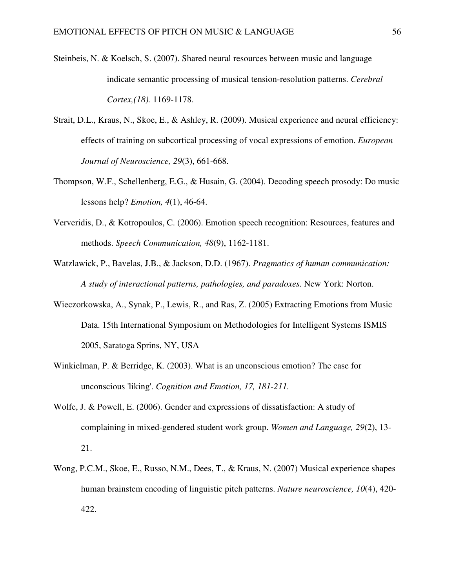- Steinbeis, N. & Koelsch, S. (2007). Shared neural resources between music and language indicate semantic processing of musical tension-resolution patterns. *Cerebral Cortex, (18).* 1169-1178.
- Strait, D.L., Kraus, N., Skoe, E., & Ashley, R. (2009). Musical experience and neural efficiency: effects of training on subcortical processing of vocal expressions of emotion. *European Journal of Neuroscience, 29*(3), 661-668.
- Thompson, W.F., Schellenberg, E.G., & Husain, G. (2004). Decoding speech prosody: Do music lessons help? *Emotion, 4*(1), 46-64.
- Ververidis, D., & Kotropoulos, C. (2006). Emotion speech recognition: Resources, features and methods. *Speech Communication, 48*(9), 1162-1181.
- Watzlawick, P., Bavelas, J.B., & Jackson, D.D. (1967). *Pragmatics of human communication: A study of interactional patterns, pathologies, and paradoxes.* New York: Norton.
- Wieczorkowska, A., Synak, P., Lewis, R., and Ras, Z. (2005) Extracting Emotions from Music Data. 15th International Symposium on Methodologies for Intelligent Systems ISMIS 2005, Saratoga Sprins, NY, USA
- Winkielman, P. & Berridge, K. (2003). What is an unconscious emotion? The case for unconscious 'liking'. *Cognition and Emotion, 17, 181-211.*
- Wolfe, J. & Powell, E. (2006). Gender and expressions of dissatisfaction: A study of complaining in mixed-gendered student work group. *Women and Language, 29*(2), 13- 21.
- Wong, P.C.M., Skoe, E., Russo, N.M., Dees, T., & Kraus, N. (2007) Musical experience shapes human brainstem encoding of linguistic pitch patterns. *Nature neuroscience, 10*(4), 420- 422.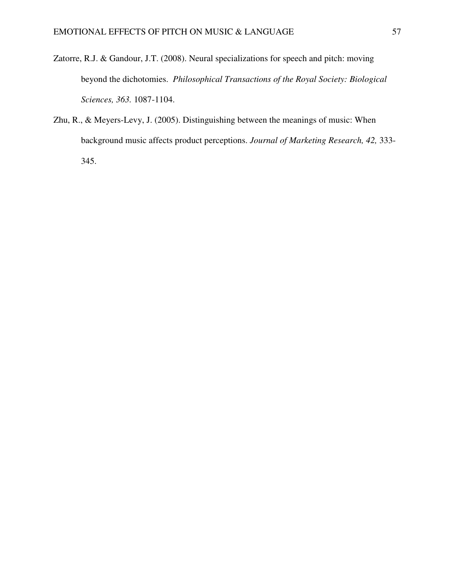- Zatorre, R.J. & Gandour, J.T. (2008). Neural specializations for speech and pitch: moving beyond the dichotomies. *Philosophical Transactions of the Royal Society: Biological Sciences, 363.* 1087-1104.
- Zhu, R., & Meyers-Levy, J. (2005). Distinguishing between the meanings of music: When background music affects product perceptions. *Journal of Marketing Research, 42,* 333- 345.